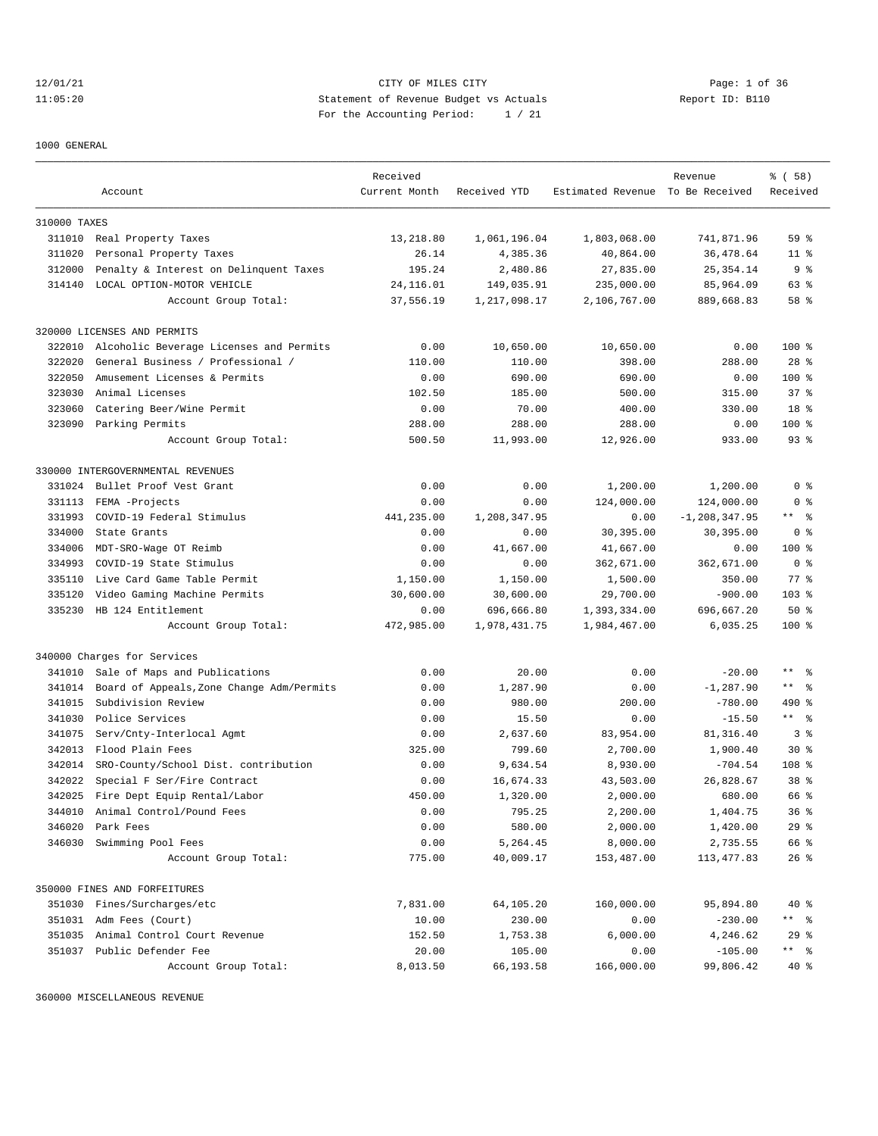12/01/21 CITY OF MILES CITY Page: 1 of 36 11:05:20 Statement of Revenue Budget vs Actuals Report ID: B110 For the Accounting Period: 1 / 21

1000 GENERAL

|              |                                           | Received      |              |                                  | Revenue           | % ( 58 )          |
|--------------|-------------------------------------------|---------------|--------------|----------------------------------|-------------------|-------------------|
|              | Account                                   | Current Month | Received YTD | Estimated Revenue To Be Received |                   | Received          |
|              |                                           |               |              |                                  |                   |                   |
| 310000 TAXES |                                           |               |              |                                  |                   |                   |
|              | 311010 Real Property Taxes                | 13,218.80     | 1,061,196.04 | 1,803,068.00                     | 741,871.96        | 59 <sup>8</sup>   |
| 311020       | Personal Property Taxes                   | 26.14         | 4,385.36     | 40,864.00                        | 36,478.64         | 11 <sup>°</sup>   |
| 312000       | Penalty & Interest on Delinquent Taxes    | 195.24        | 2,480.86     | 27,835.00                        | 25, 354.14        | 9 <sub>8</sub>    |
|              | 314140 LOCAL OPTION-MOTOR VEHICLE         | 24, 116.01    | 149,035.91   | 235,000.00                       | 85,964.09         | 63 %              |
|              | Account Group Total:                      | 37,556.19     | 1,217,098.17 | 2,106,767.00                     | 889,668.83        | 58 %              |
|              | 320000 LICENSES AND PERMITS               |               |              |                                  |                   |                   |
| 322010       | Alcoholic Beverage Licenses and Permits   | 0.00          | 10,650.00    | 10,650.00                        | 0.00              | $100$ %           |
| 322020       | General Business / Professional /         | 110.00        | 110.00       | 398.00                           | 288.00            | $28$ %            |
| 322050       | Amusement Licenses & Permits              | 0.00          | 690.00       | 690.00                           | 0.00              | $100$ %           |
| 323030       | Animal Licenses                           | 102.50        | 185.00       | 500.00                           | 315.00            | $37*$             |
| 323060       | Catering Beer/Wine Permit                 | 0.00          | 70.00        | 400.00                           | 330.00            | 18 %              |
| 323090       | Parking Permits                           | 288.00        | 288.00       | 288.00                           | 0.00              | $100$ %           |
|              | Account Group Total:                      | 500.50        | 11,993.00    | 12,926.00                        | 933.00            | $93$ $%$          |
|              | 330000 INTERGOVERNMENTAL REVENUES         |               |              |                                  |                   |                   |
| 331024       | Bullet Proof Vest Grant                   | 0.00          | 0.00         | 1,200.00                         | 1,200.00          | 0 <sup>8</sup>    |
| 331113       | FEMA -Projects                            | 0.00          | 0.00         | 124,000.00                       | 124,000.00        | 0 <sup>8</sup>    |
| 331993       | COVID-19 Federal Stimulus                 | 441,235.00    | 1,208,347.95 | 0.00                             | $-1, 208, 347.95$ | ** 응              |
| 334000       | State Grants                              | 0.00          | 0.00         | 30,395.00                        | 30,395.00         | 0 <sup>8</sup>    |
| 334006       | MDT-SRO-Wage OT Reimb                     | 0.00          | 41,667.00    | 41,667.00                        | 0.00              | $100*$            |
| 334993       | COVID-19 State Stimulus                   | 0.00          | 0.00         | 362,671.00                       | 362,671.00        | 0 <sup>8</sup>    |
| 335110       | Live Card Game Table Permit               | 1,150.00      | 1,150.00     | 1,500.00                         | 350.00            | $77$ $%$          |
| 335120       | Video Gaming Machine Permits              | 30,600.00     | 30,600.00    | 29,700.00                        | $-900.00$         | $103$ %           |
| 335230       | HB 124 Entitlement                        | 0.00          | 696,666.80   | 1,393,334.00                     | 696,667.20        | 50%               |
|              |                                           | 472,985.00    |              |                                  |                   | 100 %             |
|              | Account Group Total:                      |               | 1,978,431.75 | 1,984,467.00                     | 6,035.25          |                   |
|              | 340000 Charges for Services               |               |              |                                  |                   |                   |
| 341010       | Sale of Maps and Publications             | 0.00          | 20.00        | 0.00                             | $-20.00$          | $\star\star$<br>ഀ |
| 341014       | Board of Appeals, Zone Change Adm/Permits | 0.00          | 1,287.90     | 0.00                             | $-1, 287.90$      | $***$ $ -$        |
| 341015       | Subdivision Review                        | 0.00          | 980.00       | 200.00                           | $-780.00$         | $490*$            |
| 341030       | Police Services                           | 0.00          | 15.50        | 0.00                             | $-15.50$          | $***$ $ -$        |
| 341075       | Serv/Cnty-Interlocal Agmt                 | 0.00          | 2,637.60     | 83,954.00                        | 81, 316.40        | 3 <sup>8</sup>    |
| 342013       | Flood Plain Fees                          | 325.00        | 799.60       | 2,700.00                         | 1,900.40          | $30*$             |
| 342014       | SRO-County/School Dist. contribution      | 0.00          | 9,634.54     | 8,930.00                         | $-704.54$         | 108 <sup>8</sup>  |
| 342022       | Special F Ser/Fire Contract               | 0.00          | 16,674.33    | 43,503.00                        | 26,828.67         | 38 %              |
| 342025       | Fire Dept Equip Rental/Labor              | 450.00        | 1,320.00     | 2,000.00                         | 680.00            | 66 %              |
| 344010       | Animal Control/Pound Fees                 | 0.00          | 795.25       | 2,200.00                         | 1,404.75          | 36%               |
| 346020       | Park Fees                                 | 0.00          | 580.00       | 2,000.00                         | 1,420.00          | 29%               |
| 346030       | Swimming Pool Fees                        | 0.00          | 5,264.45     | 8,000.00                         | 2,735.55          | 66 %              |
|              | Account Group Total:                      | 775.00        | 40,009.17    | 153,487.00                       | 113, 477.83       | $26$ %            |
|              | 350000 FINES AND FORFEITURES              |               |              |                                  |                   |                   |
| 351030       | Fines/Surcharges/etc                      | 7,831.00      | 64,105.20    | 160,000.00                       | 95,894.80         | 40 %              |
| 351031       | Adm Fees (Court)                          | 10.00         | 230.00       | 0.00                             | $-230.00$         | ** %              |
| 351035       | Animal Control Court Revenue              | 152.50        | 1,753.38     | 6,000.00                         | 4,246.62          | 29%               |
|              | 351037 Public Defender Fee                | 20.00         | 105.00       | 0.00                             | $-105.00$         | $***$ $ -$        |
|              | Account Group Total:                      | 8,013.50      | 66,193.58    | 166,000.00                       | 99,806.42         | 40 %              |

360000 MISCELLANEOUS REVENUE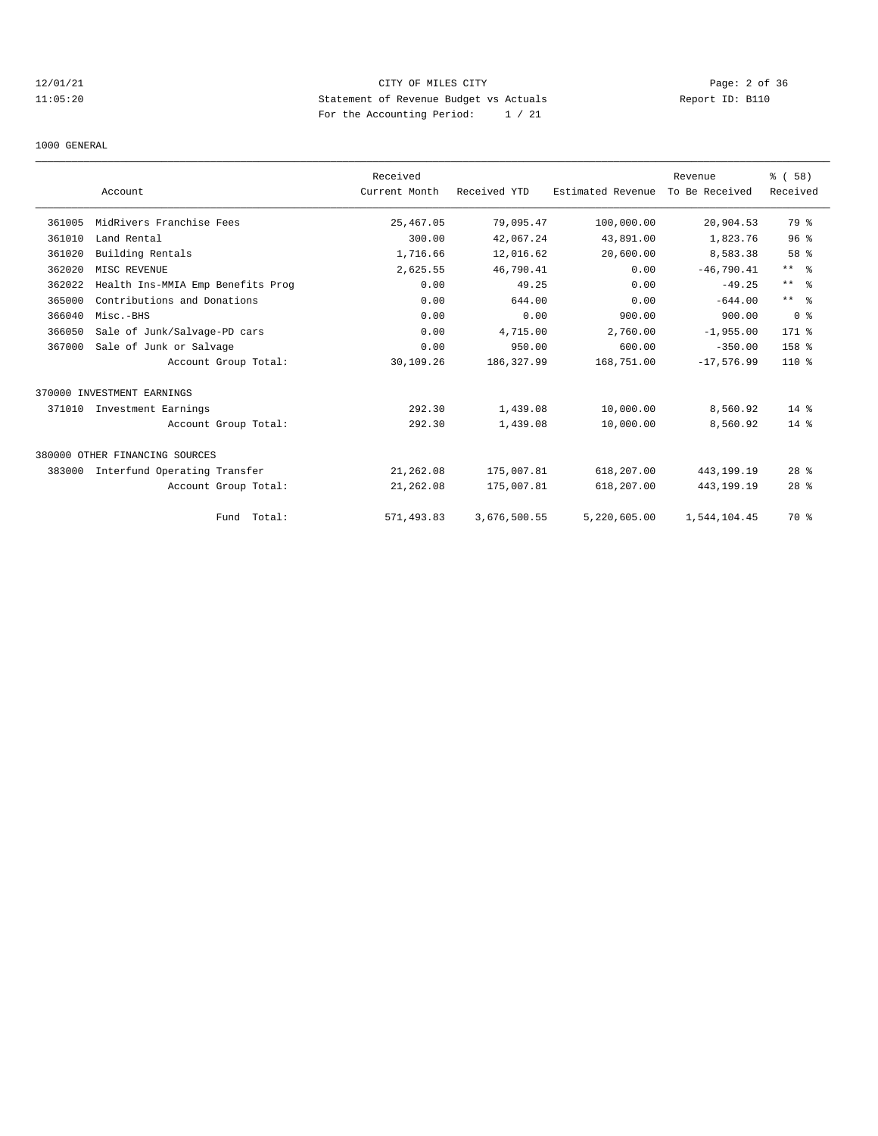# 12/01/21 CITY OF MILES CITY Page: 2 of 36 11:05:20 Statement of Revenue Budget vs Actuals Report ID: B110 For the Accounting Period: 1 / 21

1000 GENERAL

|        | Account                           | Received<br>Current Month | Received YTD | Estimated Revenue | Revenue<br>To Be Received | % (58)<br>Received |
|--------|-----------------------------------|---------------------------|--------------|-------------------|---------------------------|--------------------|
|        |                                   |                           |              |                   |                           |                    |
| 361005 | MidRivers Franchise Fees          | 25, 467.05                | 79,095.47    | 100,000.00        | 20,904.53                 | 79 %               |
| 361010 | Land Rental                       | 300.00                    | 42,067.24    | 43,891.00         | 1,823.76                  | 96 <sup>8</sup>    |
| 361020 | Building Rentals                  | 1,716.66                  | 12,016.62    | 20,600.00         | 8,583.38                  | 58 %               |
| 362020 | MISC REVENUE                      | 2,625.55                  | 46,790.41    | 0.00              | $-46,790.41$              | $***$ $ -$         |
| 362022 | Health Ins-MMIA Emp Benefits Prog | 0.00                      | 49.25        | 0.00              | $-49.25$                  | $***$ $ -$         |
| 365000 | Contributions and Donations       | 0.00                      | 644.00       | 0.00              | $-644.00$                 | $***$ $ -$         |
| 366040 | Misc.-BHS                         | 0.00                      | 0.00         | 900.00            | 900.00                    | 0 <sup>8</sup>     |
| 366050 | Sale of Junk/Salvage-PD cars      | 0.00                      | 4,715.00     | 2,760.00          | $-1,955.00$               | 171 %              |
| 367000 | Sale of Junk or Salvage           | 0.00                      | 950.00       | 600.00            | $-350.00$                 | 158 %              |
|        | Account Group Total:              | 30,109.26                 | 186, 327.99  | 168,751.00        | $-17,576.99$              | $110*$             |
|        | 370000 INVESTMENT EARNINGS        |                           |              |                   |                           |                    |
| 371010 | Investment Earnings               | 292.30                    | 1,439.08     | 10,000.00         | 8,560.92                  | $14*$              |
|        | Account Group Total:              | 292.30                    | 1,439.08     | 10,000.00         | 8,560.92                  | $14*$              |
|        | 380000 OTHER FINANCING SOURCES    |                           |              |                   |                           |                    |
| 383000 | Interfund Operating Transfer      | 21,262.08                 | 175,007.81   | 618,207.00        | 443, 199. 19              | $28$ %             |
|        | Account Group Total:              | 21,262.08                 | 175,007.81   | 618,207.00        | 443, 199. 19              | $28$ %             |
|        | Fund Total:                       | 571,493.83                | 3,676,500.55 | 5,220,605.00      | 1,544,104.45              | 70 %               |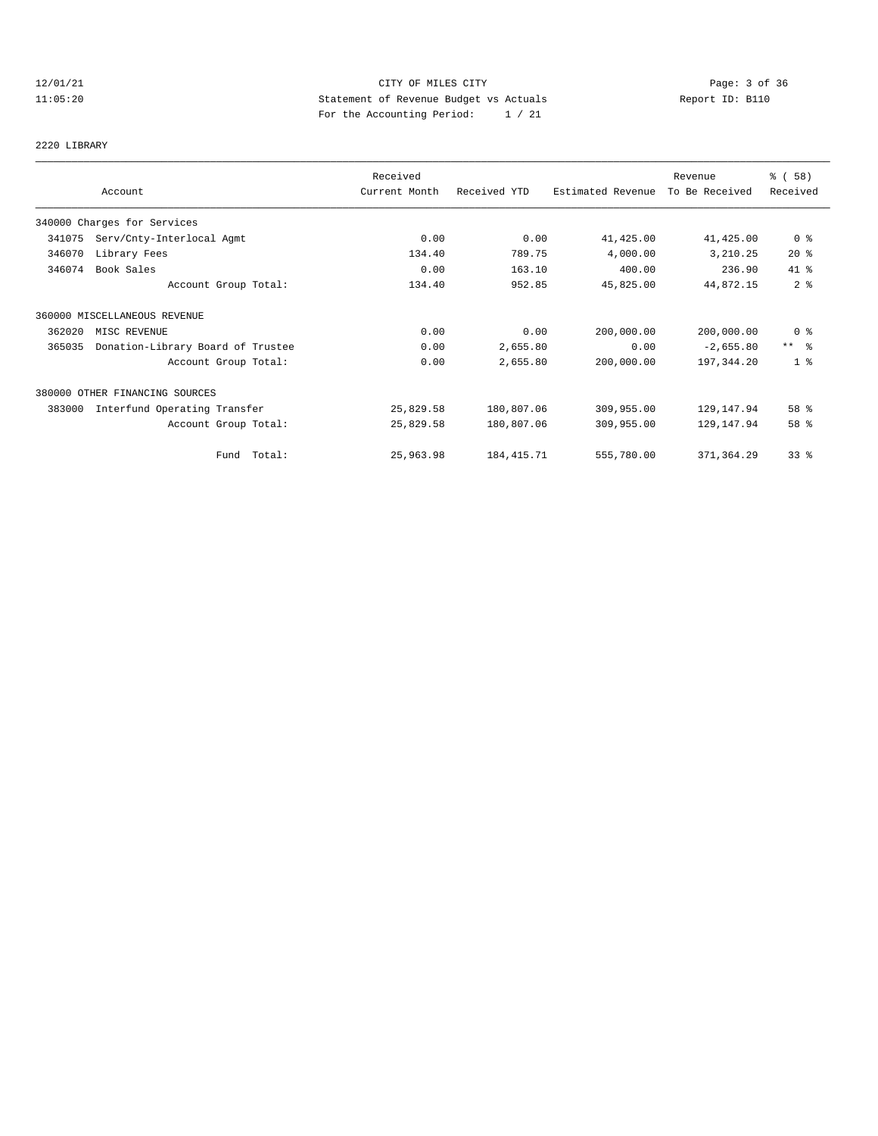# 12/01/21 CITY OF MILES CITY Page: 3 of 36 11:05:20 Statement of Revenue Budget vs Actuals Report ID: B110 For the Accounting Period: 1 / 21

#### 2220 LIBRARY

|        |                                   | Received      |              |                   | Revenue        | % (58)          |
|--------|-----------------------------------|---------------|--------------|-------------------|----------------|-----------------|
|        | Account                           | Current Month | Received YTD | Estimated Revenue | To Be Received | Received        |
|        | 340000 Charges for Services       |               |              |                   |                |                 |
| 341075 | Serv/Cnty-Interlocal Agmt         | 0.00          | 0.00         | 41,425.00         | 41, 425.00     | $0$ %           |
| 346070 | Library Fees                      | 134.40        | 789.75       | 4,000.00          | 3,210.25       | $20*$           |
| 346074 | Book Sales                        | 0.00          | 163.10       | 400.00            | 236.90         | 41 %            |
|        | Account Group Total:              | 134.40        | 952.85       | 45,825.00         | 44,872.15      | 2 <sup>8</sup>  |
|        | 360000 MISCELLANEOUS REVENUE      |               |              |                   |                |                 |
| 362020 | MISC REVENUE                      | 0.00          | 0.00         | 200,000.00        | 200,000.00     | 0 <sup>8</sup>  |
| 365035 | Donation-Library Board of Trustee | 0.00          | 2,655.80     | 0.00              | $-2,655.80$    | $***$ $\approx$ |
|        | Account Group Total:              | 0.00          | 2,655.80     | 200,000.00        | 197,344.20     | 1 <sup>8</sup>  |
|        | 380000 OTHER FINANCING SOURCES    |               |              |                   |                |                 |
| 383000 | Interfund Operating Transfer      | 25,829.58     | 180,807.06   | 309,955.00        | 129, 147.94    | 58 %            |
|        | Account Group Total:              | 25,829.58     | 180,807.06   | 309,955.00        | 129, 147.94    | 58 %            |
|        | Fund Total:                       | 25,963.98     | 184, 415.71  | 555,780.00        | 371,364.29     | 33 <sup>8</sup> |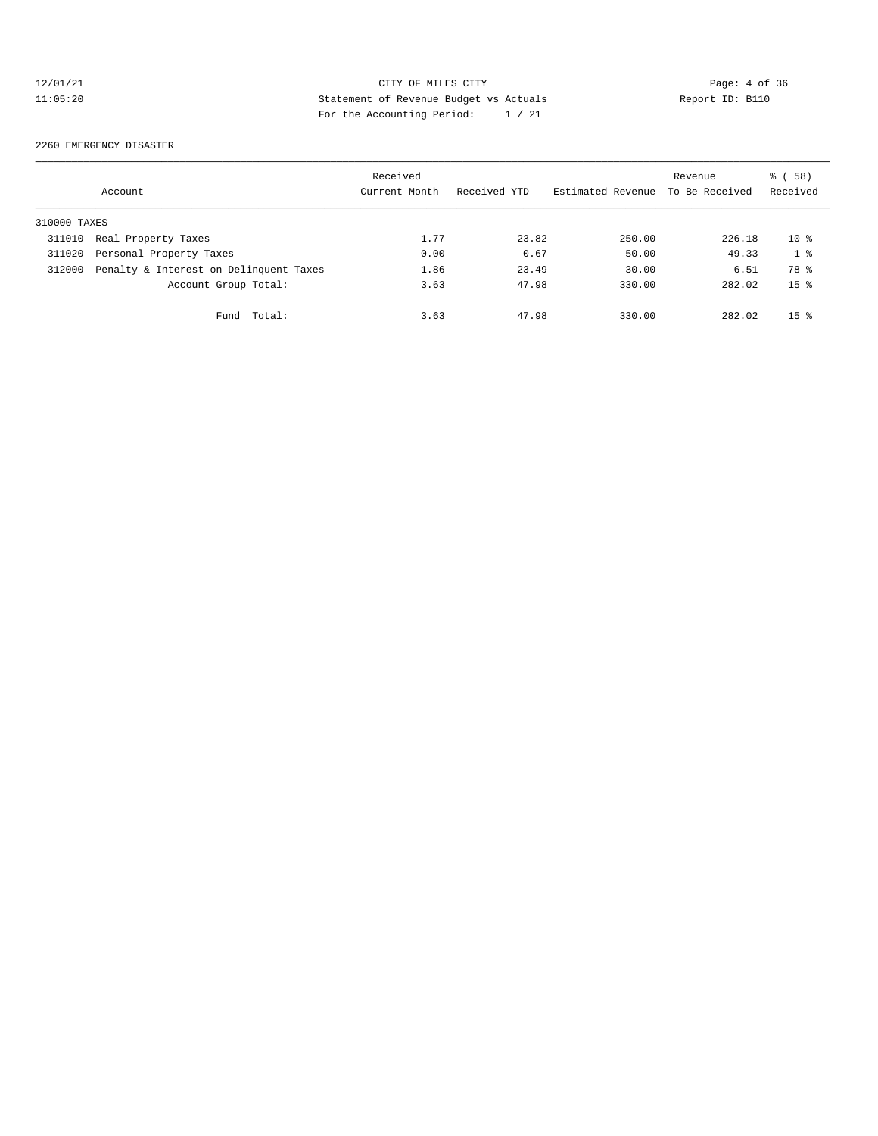# 12/01/21 CITY OF MILES CITY CHES CITY Page: 4 of 36<br>11:05:20 Statement of Revenue Budget vs Actuals Report ID: B110 11:05:20 Statement of Revenue Budget vs Actuals Report ID: B110 For the Accounting Period: 1 / 21

#### 2260 EMERGENCY DISASTER

|              | Account                                | Received<br>Current Month | Received YTD | Estimated Revenue | Revenue<br>To Be Received | % (58)<br>Received |
|--------------|----------------------------------------|---------------------------|--------------|-------------------|---------------------------|--------------------|
| 310000 TAXES |                                        |                           |              |                   |                           |                    |
| 311010       | Real Property Taxes                    | 1.77                      | 23.82        | 250.00            | 226.18                    | $10*$              |
| 311020       | Personal Property Taxes                | 0.00                      | 0.67         | 50.00             | 49.33                     | 1 <sup>8</sup>     |
| 312000       | Penalty & Interest on Delinquent Taxes | 1.86                      | 23.49        | 30.00             | 6.51                      | 78 %               |
|              | Account Group Total:                   | 3.63                      | 47.98        | 330.00            | 282.02                    | $15*$              |
|              | Total:<br>Fund                         | 3.63                      | 47.98        | 330.00            | 282.02                    | 15 <sup>8</sup>    |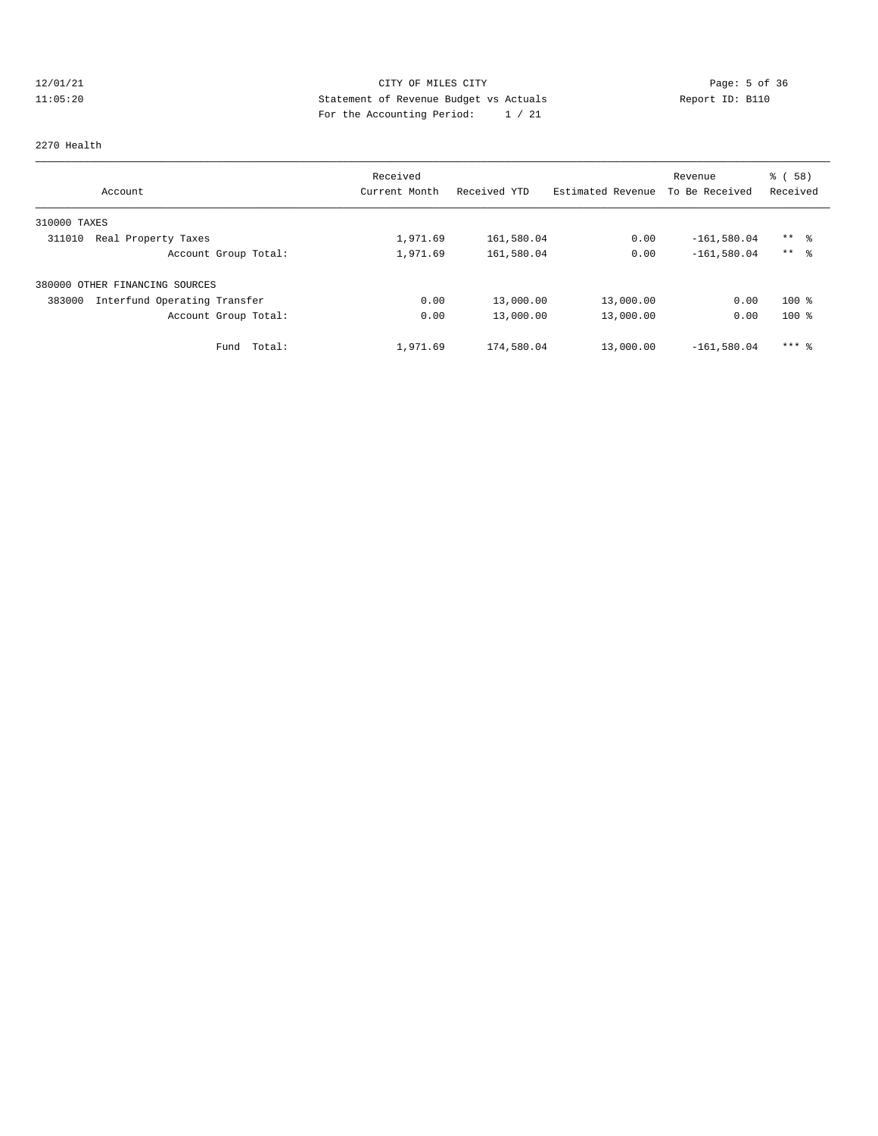# 12/01/21 CITY OF MILES CITY CHES CITY Page: 5 of 36<br>11:05:20 Statement of Revenue Budget vs Actuals Report ID: B110 11:05:20 Statement of Revenue Budget vs Actuals Report ID: B110 For the Accounting Period: 1 / 21

#### 2270 Health

| Account                                | Received<br>Current Month | Received YTD | Estimated Revenue | Revenue<br>To Be Received | % (58)<br>Received |
|----------------------------------------|---------------------------|--------------|-------------------|---------------------------|--------------------|
| 310000 TAXES                           |                           |              |                   |                           |                    |
| 311010<br>Real Property Taxes          | 1,971.69                  | 161,580.04   | 0.00              | $-161,580.04$             | $***$ %            |
| Account Group Total:                   | 1,971.69                  | 161,580.04   | 0.00              | $-161,580.04$             | $***$ $\approx$    |
| 380000 OTHER FINANCING SOURCES         |                           |              |                   |                           |                    |
| Interfund Operating Transfer<br>383000 | 0.00                      | 13,000.00    | 13,000.00         | 0.00                      | $100$ %            |
| Account Group Total:                   | 0.00                      | 13,000.00    | 13,000.00         | 0.00                      | $100$ %            |
| Total:<br>Fund                         | 1,971.69                  | 174,580.04   | 13,000.00         | $-161,580.04$             | $***$ $%$          |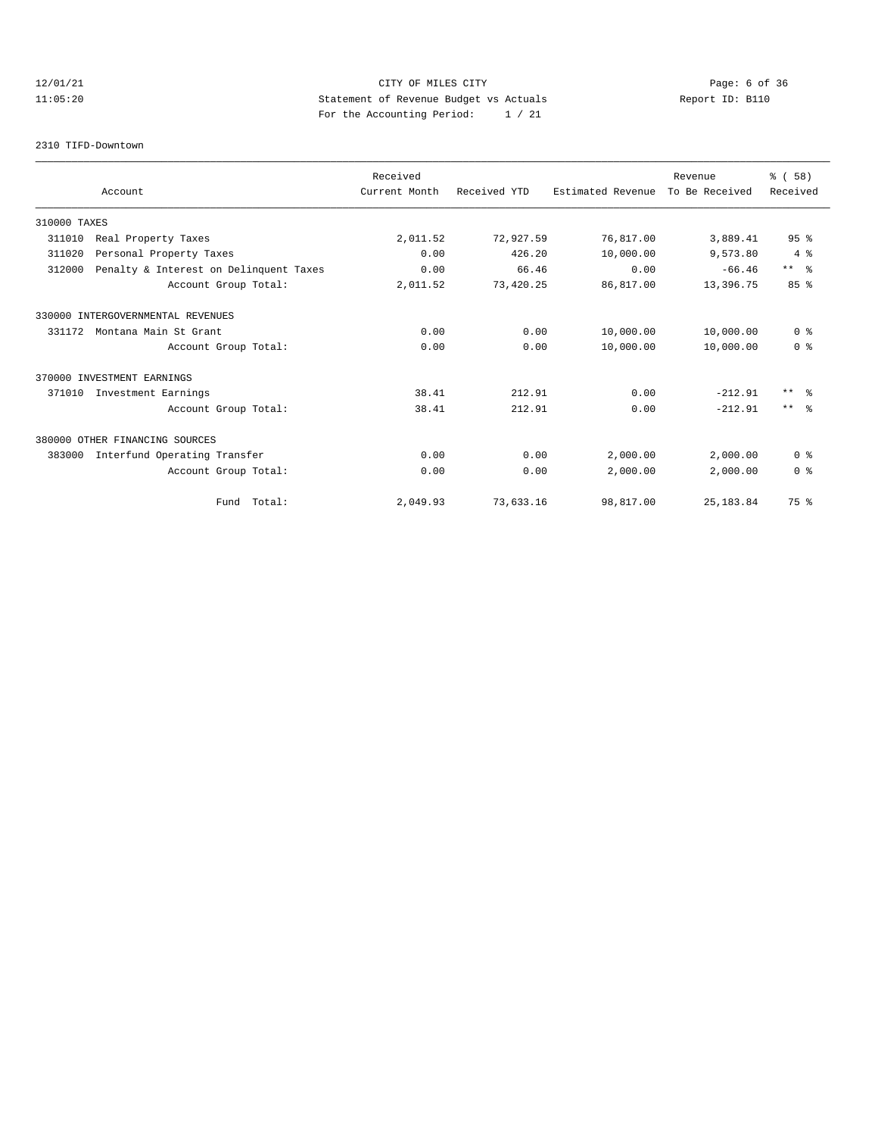# 12/01/21 CITY OF MILES CITY Page: 6 of 36 11:05:20 Statement of Revenue Budget vs Actuals Report ID: B110 For the Accounting Period: 1 / 21

#### 2310 TIFD-Downtown

|              |                                        | Received      |              |                   | Revenue        | % (58)          |
|--------------|----------------------------------------|---------------|--------------|-------------------|----------------|-----------------|
|              | Account                                | Current Month | Received YTD | Estimated Revenue | To Be Received | Received        |
| 310000 TAXES |                                        |               |              |                   |                |                 |
| 311010       | Real Property Taxes                    | 2,011.52      | 72,927.59    | 76,817.00         | 3,889.41       | 95 <sup>8</sup> |
| 311020       | Personal Property Taxes                | 0.00          | 426.20       | 10,000.00         | 9,573.80       | 4%              |
| 312000       | Penalty & Interest on Delinquent Taxes | 0.00          | 66.46        | 0.00              | $-66.46$       | $***$ $ -$      |
|              | Account Group Total:                   | 2,011.52      | 73,420.25    | 86,817.00         | 13,396.75      | 85%             |
|              | 330000 INTERGOVERNMENTAL REVENUES      |               |              |                   |                |                 |
| 331172       | Montana Main St Grant                  | 0.00          | 0.00         | 10,000.00         | 10,000.00      | 0 <sup>8</sup>  |
|              | Account Group Total:                   | 0.00          | 0.00         | 10,000.00         | 10,000.00      | 0 <sup>8</sup>  |
|              | 370000 INVESTMENT EARNINGS             |               |              |                   |                |                 |
| 371010       | Investment Earnings                    | 38.41         | 212.91       | 0.00              | $-212.91$      | $***$ $=$       |
|              | Account Group Total:                   | 38.41         | 212.91       | 0.00              | $-212.91$      | $***$ $ -$      |
|              | 380000 OTHER FINANCING SOURCES         |               |              |                   |                |                 |
| 383000       | Interfund Operating Transfer           | 0.00          | 0.00         | 2,000.00          | 2,000.00       | 0 <sup>8</sup>  |
|              | Account Group Total:                   | 0.00          | 0.00         | 2,000.00          | 2.000.00       | 0 <sup>8</sup>  |
|              | Fund Total:                            | 2,049.93      | 73,633.16    | 98,817.00         | 25, 183.84     | 75 %            |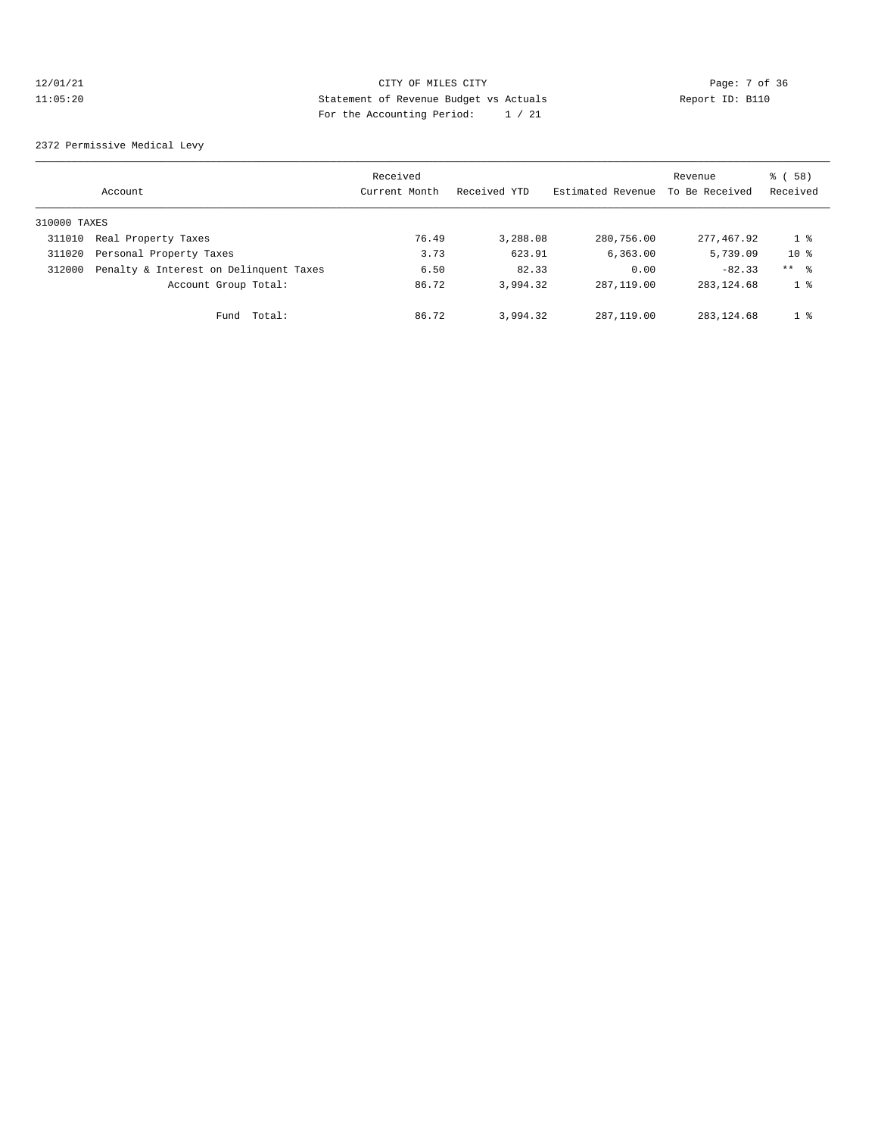# 12/01/21 CITY OF MILES CITY Page: 7 of 36 11:05:20 Statement of Revenue Budget vs Actuals Report ID: B110 For the Accounting Period: 1 / 21

2372 Permissive Medical Levy

|              | Account                                | Received<br>Current Month | Received YTD | Estimated Revenue | Revenue<br>To Be Received | 8 ( 58 )<br>Received |
|--------------|----------------------------------------|---------------------------|--------------|-------------------|---------------------------|----------------------|
| 310000 TAXES |                                        |                           |              |                   |                           |                      |
| 311010       | Real Property Taxes                    | 76.49                     | 3,288.08     | 280,756.00        | 277,467.92                | 1 %                  |
| 311020       | Personal Property Taxes                | 3.73                      | 623.91       | 6,363.00          | 5,739.09                  | $10*$                |
| 312000       | Penalty & Interest on Delinquent Taxes | 6.50                      | 82.33        | 0.00              | $-82.33$                  | $***$ %              |
|              | Account Group Total:                   | 86.72                     | 3,994.32     | 287, 119, 00      | 283, 124, 68              | 1 <sup>°</sup>       |
|              | Fund Total:                            | 86.72                     | 3,994.32     | 287, 119, 00      | 283, 124, 68              | 1 <sup>8</sup>       |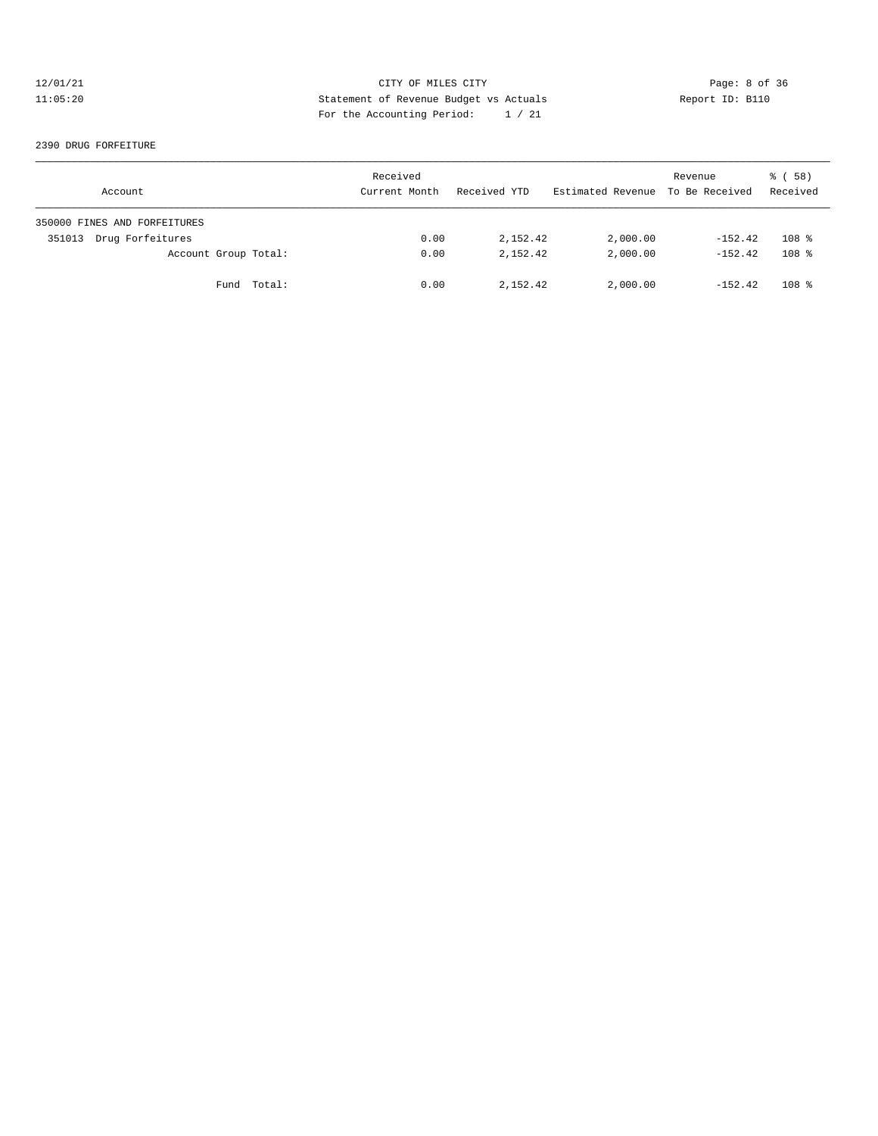# 12/01/21 CITY OF MILES CITY CONTRIBUTE CITY Page: 8 of 36<br>11:05:20 Statement of Revenue Budget vs Actuals Report ID: B110 11:05:20 Statement of Revenue Budget vs Actuals Report ID: B110 For the Accounting Period: 1 / 21

#### 2390 DRUG FORFEITURE

| Account                      | Received<br>Current Month | Received YTD | Estimated Revenue To Be Received | Revenue   | $\frac{8}{6}$ (58)<br>Received |
|------------------------------|---------------------------|--------------|----------------------------------|-----------|--------------------------------|
| 350000 FINES AND FORFEITURES |                           |              |                                  |           |                                |
| Drug Forfeitures<br>351013   | 0.00                      | 2,152.42     | 2,000.00                         | $-152.42$ | $108$ %                        |
| Account Group Total:         | 0.00                      | 2, 152, 42   | 2,000.00                         | $-152.42$ | 108 <sup>8</sup>               |
| Fund Total:                  | 0.00                      | 2,152.42     | 2,000.00                         | $-152.42$ | $108$ %                        |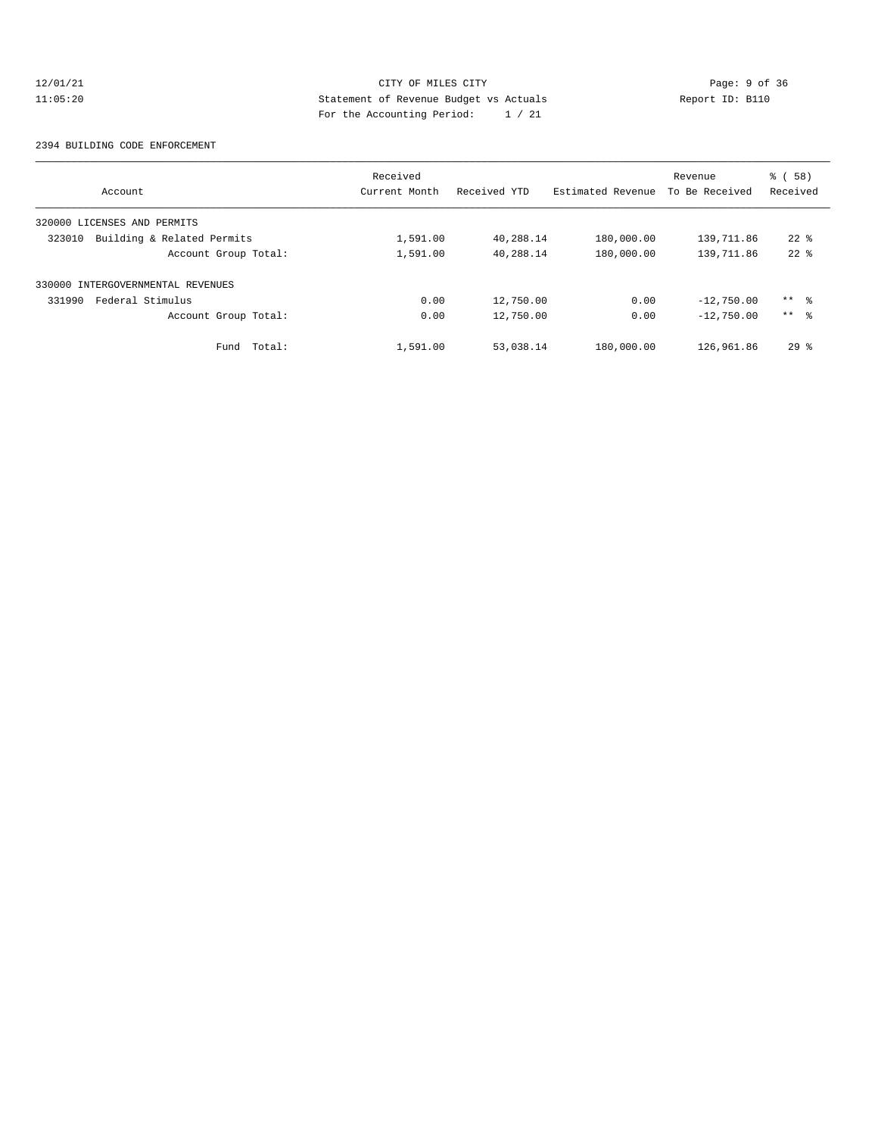# 12/01/21 CITY OF MILES CITY CONTRIBUTE CITY Page: 9 of 36<br>11:05:20 Statement of Revenue Budget vs Actuals Report ID: B110 11:05:20 Statement of Revenue Budget vs Actuals Report ID: B110 For the Accounting Period: 1 / 21

#### 2394 BUILDING CODE ENFORCEMENT

| Account                              | Received<br>Current Month | Received YTD | Estimated Revenue | Revenue<br>To Be Received | 8 ( 58 )<br>Received |
|--------------------------------------|---------------------------|--------------|-------------------|---------------------------|----------------------|
| 320000 LICENSES AND PERMITS          |                           |              |                   |                           |                      |
| Building & Related Permits<br>323010 | 1,591.00                  | 40,288.14    | 180,000.00        | 139,711.86                | $22*$                |
| Account Group Total:                 | 1,591.00                  | 40,288.14    | 180,000.00        | 139,711.86                | $22$ $%$             |
| 330000 INTERGOVERNMENTAL REVENUES    |                           |              |                   |                           |                      |
| Federal Stimulus<br>331990           | 0.00                      | 12,750.00    | 0.00              | $-12,750.00$              | ** %                 |
| Account Group Total:                 | 0.00                      | 12,750.00    | 0.00              | $-12,750.00$              | $***$ $\frac{6}{5}$  |
| Total:<br>Fund                       | 1,591.00                  | 53,038.14    | 180,000.00        | 126,961.86                | $29*$                |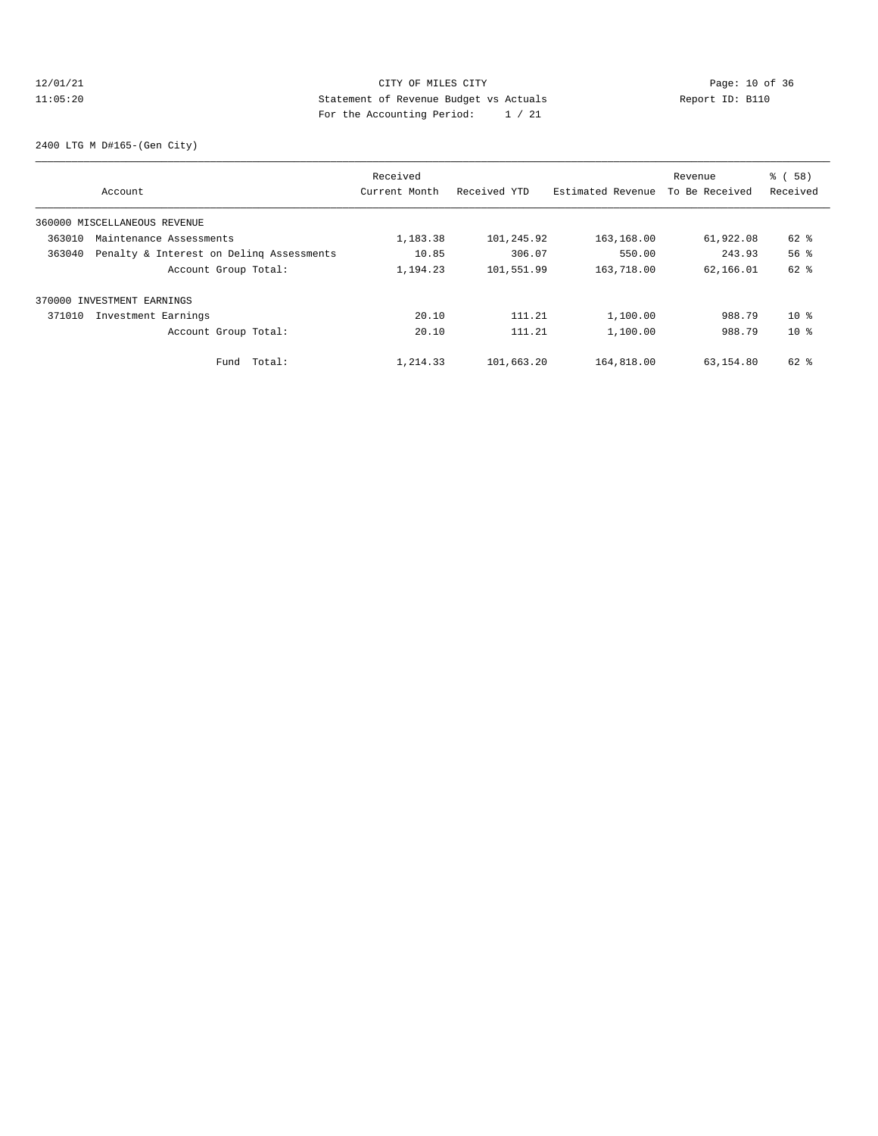# 12/01/21 Page: 10 of 36 CITY OF MILES CITY CHANGES CONTROL PAGE: 10 of 36 11:05:20 Statement of Revenue Budget vs Actuals Report ID: B110 For the Accounting Period: 1 / 21

2400 LTG M D#165-(Gen City)

|        |                                          | Received      |              |                   | Revenue        | % (58)          |
|--------|------------------------------------------|---------------|--------------|-------------------|----------------|-----------------|
|        | Account                                  | Current Month | Received YTD | Estimated Revenue | To Be Received | Received        |
|        | 360000 MISCELLANEOUS REVENUE             |               |              |                   |                |                 |
| 363010 | Maintenance Assessments                  | 1,183.38      | 101,245.92   | 163,168.00        | 61,922.08      | 62 %            |
| 363040 | Penalty & Interest on Deling Assessments | 10.85         | 306.07       | 550.00            | 243.93         | 56 <sup>8</sup> |
|        | Account Group Total:                     | 1,194.23      | 101,551.99   | 163,718.00        | 62,166.01      | 62 %            |
|        | 370000 INVESTMENT EARNINGS               |               |              |                   |                |                 |
| 371010 | Investment Earnings                      | 20.10         | 111.21       | 1,100.00          | 988.79         | $10*$           |
|        | Account Group Total:                     | 20.10         | 111.21       | 1,100.00          | 988.79         | $10*$           |
|        | Fund Total:                              | 1,214.33      | 101,663.20   | 164,818.00        | 63,154.80      | $62$ $%$        |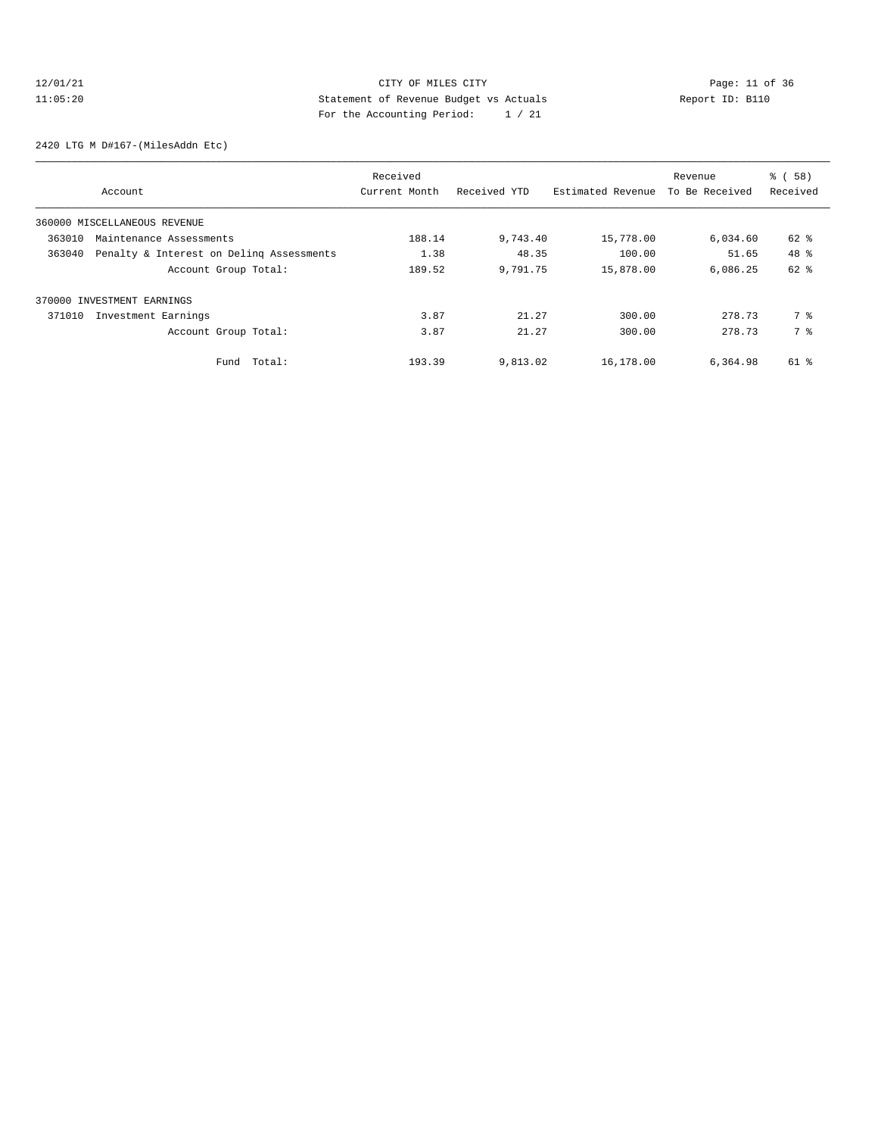# 12/01/21 Page: 11 of 36 CITY OF MILES CITY 11:05:20 Statement of Revenue Budget vs Actuals Report ID: B110 For the Accounting Period: 1 / 21

2420 LTG M D#167-(MilesAddn Etc)

| Account                                            | Received<br>Current Month | Received YTD | Estimated Revenue | Revenue<br>To Be Received | % (58)<br>Received |
|----------------------------------------------------|---------------------------|--------------|-------------------|---------------------------|--------------------|
| 360000 MISCELLANEOUS REVENUE                       |                           |              |                   |                           |                    |
| 363010<br>Maintenance Assessments                  | 188.14                    | 9,743.40     | 15,778.00         | 6,034.60                  | 62 %               |
| 363040<br>Penalty & Interest on Deling Assessments | 1.38                      | 48.35        | 100.00            | 51.65                     | 48 %               |
| Account Group Total:                               | 189.52                    | 9,791.75     | 15,878.00         | 6,086.25                  | 62 %               |
| 370000 INVESTMENT EARNINGS                         |                           |              |                   |                           |                    |
| Investment Earnings<br>371010                      | 3.87                      | 21.27        | 300.00            | 278.73                    | 7 %                |
| Account Group Total:                               | 3.87                      | 21.27        | 300.00            | 278.73                    | 7 %                |
| Total:<br>Fund                                     | 193.39                    | 9,813.02     | 16,178.00         | 6,364.98                  | 61 %               |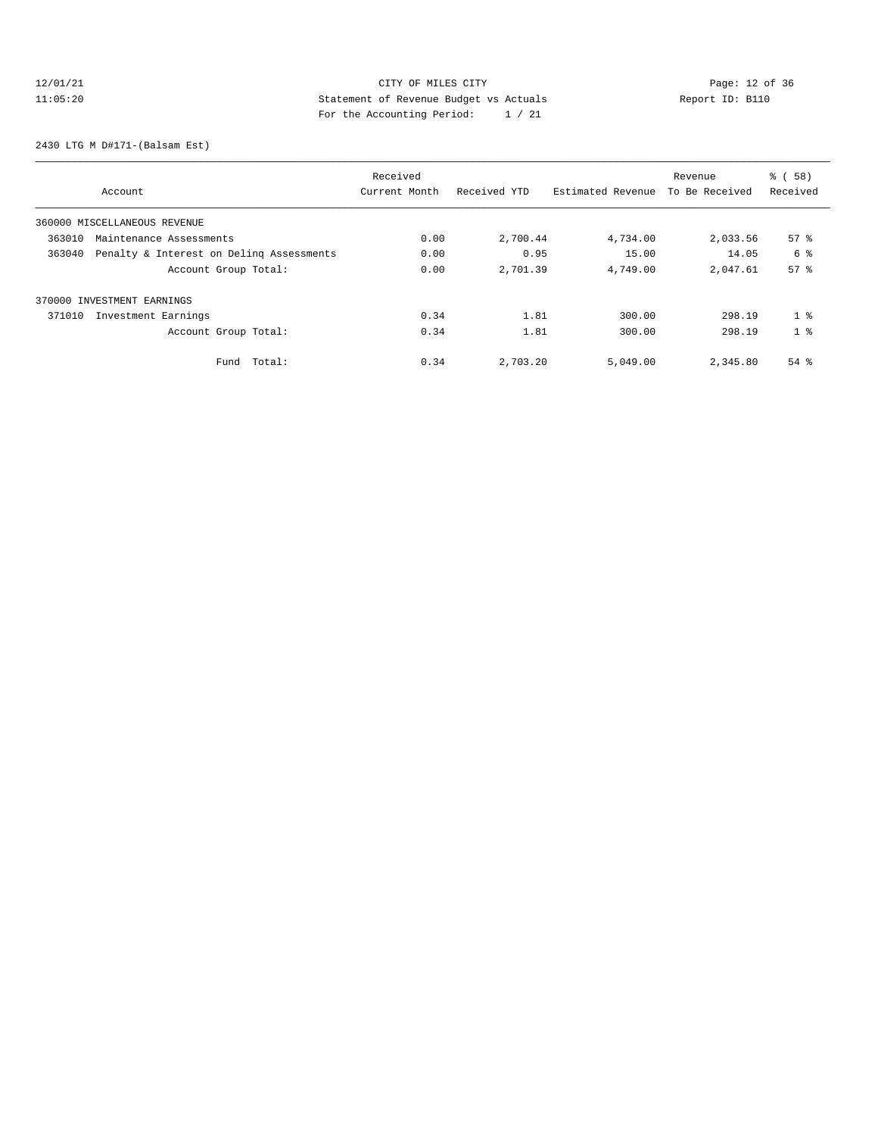# 12/01/21 Page: 12 of 36 CITY OF MILES CITY CHANGES CONTROL PAGE: 12 of 36 11:05:20 Statement of Revenue Budget vs Actuals Report ID: B110 For the Accounting Period: 1 / 21

2430 LTG M D#171-(Balsam Est)

| Account                                            | Received<br>Current Month | Received YTD | Estimated Revenue | Revenue<br>To Be Received | % (58)<br>Received |
|----------------------------------------------------|---------------------------|--------------|-------------------|---------------------------|--------------------|
| 360000 MISCELLANEOUS REVENUE                       |                           |              |                   |                           |                    |
| 363010<br>Maintenance Assessments                  | 0.00                      | 2,700.44     | 4,734.00          | 2,033.56                  | $57*$              |
| 363040<br>Penalty & Interest on Deling Assessments | 0.00                      | 0.95         | 15.00             | 14.05                     | 6 %                |
| Account Group Total:                               | 0.00                      | 2,701.39     | 4,749.00          | 2,047.61                  | 57 <sup>8</sup>    |
| 370000 INVESTMENT EARNINGS                         |                           |              |                   |                           |                    |
| 371010<br>Investment Earnings                      | 0.34                      | 1.81         | 300.00            | 298.19                    | 1 <sup>8</sup>     |
| Account Group Total:                               | 0.34                      | 1.81         | 300.00            | 298.19                    | 1 <sup>8</sup>     |
| Total:<br>Fund                                     | 0.34                      | 2,703.20     | 5,049.00          | 2,345.80                  | $54$ $%$           |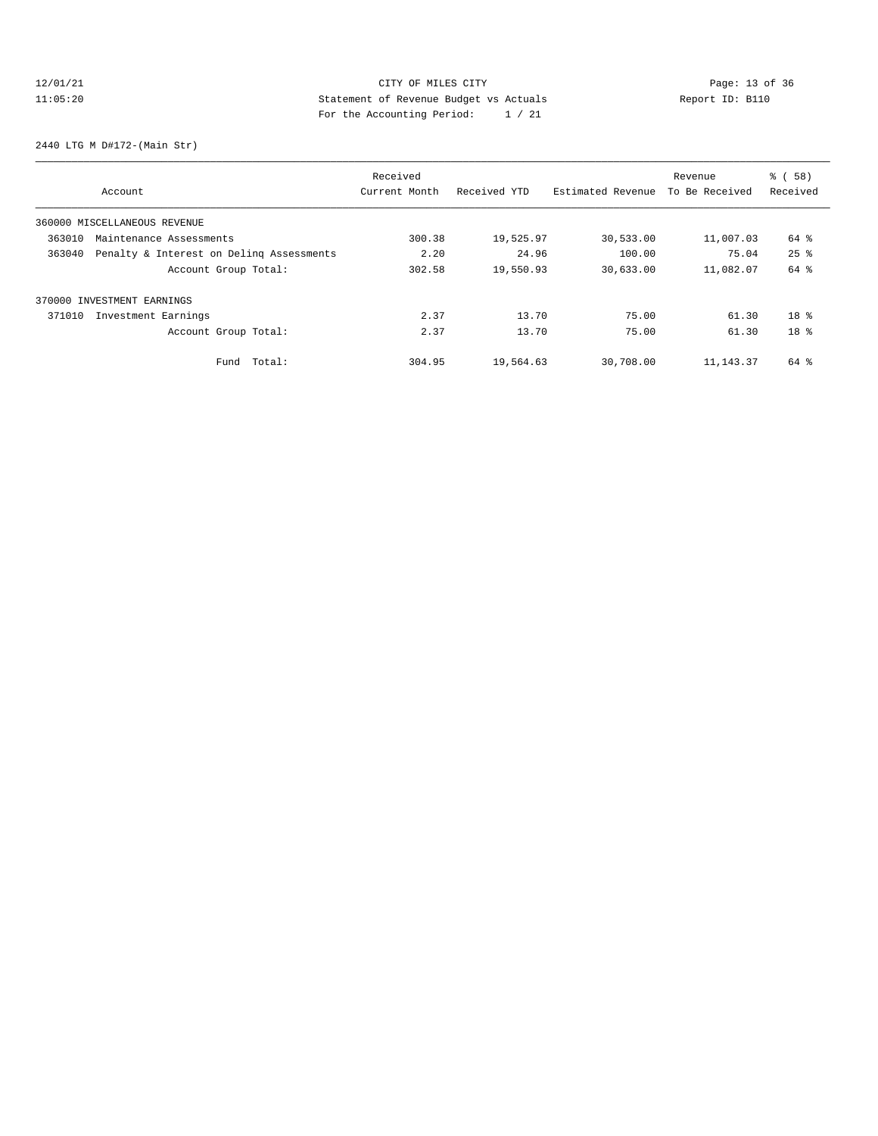# 12/01/21 Page: 13 of 36 Page: 13 of 36 Page: 13 Of 36 Page: 13 Of 36 Page: 13 Of 36 11:05:20 Statement of Revenue Budget vs Actuals Report ID: B110 For the Accounting Period: 1 / 21

2440 LTG M D#172-(Main Str)

| Account                                            | Received<br>Current Month | Received YTD | Estimated Revenue | Revenue<br>To Be Received | % (58)<br>Received |
|----------------------------------------------------|---------------------------|--------------|-------------------|---------------------------|--------------------|
| 360000 MISCELLANEOUS REVENUE                       |                           |              |                   |                           |                    |
| 363010<br>Maintenance Assessments                  | 300.38                    | 19,525.97    | 30,533.00         | 11,007.03                 | 64 %               |
| 363040<br>Penalty & Interest on Deling Assessments | 2.20                      | 24.96        | 100.00            | 75.04                     | $25$ $%$           |
| Account Group Total:                               | 302.58                    | 19,550.93    | 30,633.00         | 11,082.07                 | 64 %               |
| 370000 INVESTMENT EARNINGS                         |                           |              |                   |                           |                    |
| 371010<br>Investment Earnings                      | 2.37                      | 13.70        | 75.00             | 61.30                     | $18*$              |
| Account Group Total:                               | 2.37                      | 13.70        | 75.00             | 61.30                     | $18*$              |
| Total:<br>Fund                                     | 304.95                    | 19,564.63    | 30,708.00         | 11, 143. 37               | $64$ $\frac{6}{3}$ |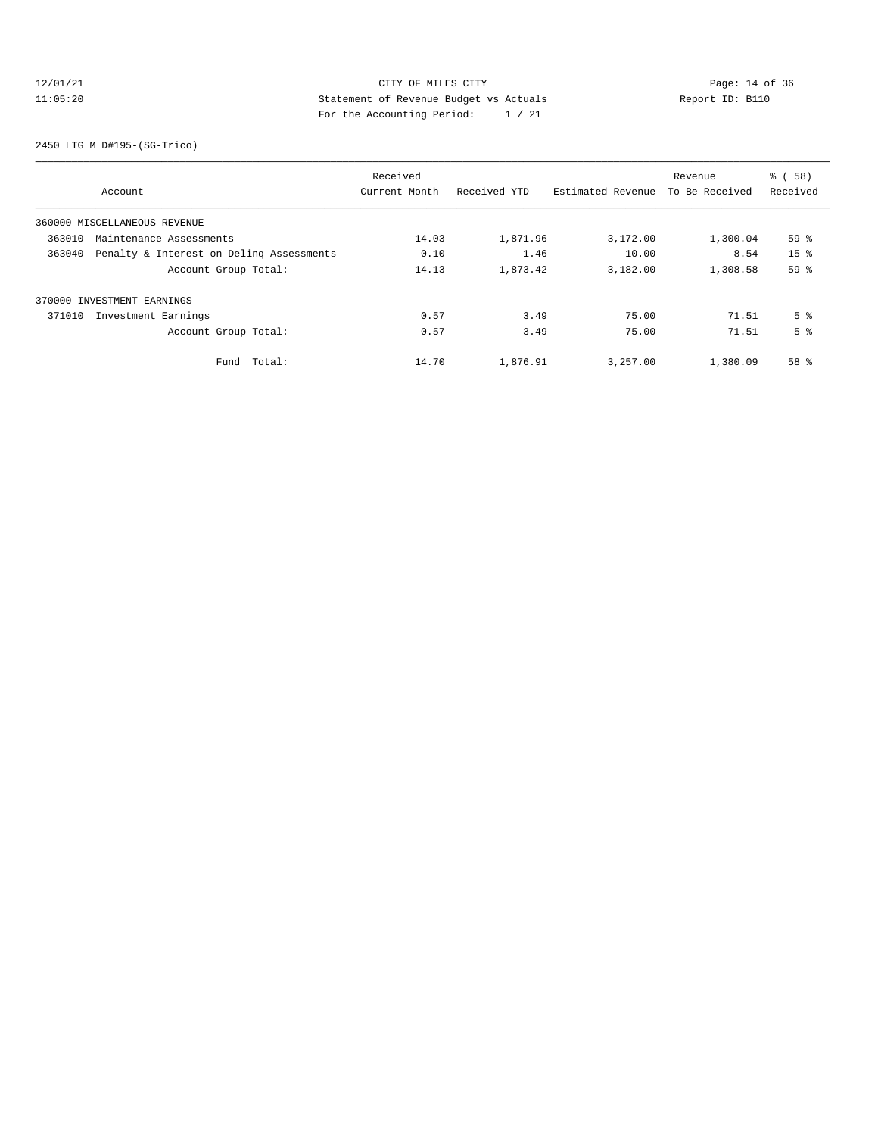# 12/01/21 Page: 14 of 36 11:05:20 Statement of Revenue Budget vs Actuals Report ID: B110 For the Accounting Period: 1 / 21

2450 LTG M D#195-(SG-Trico)

| Account                                            | Received<br>Current Month | Received YTD | Estimated Revenue | Revenue<br>To Be Received | % (58)<br>Received |
|----------------------------------------------------|---------------------------|--------------|-------------------|---------------------------|--------------------|
| 360000 MISCELLANEOUS REVENUE                       |                           |              |                   |                           |                    |
| 363010<br>Maintenance Assessments                  | 14.03                     | 1,871.96     | 3,172.00          | 1,300.04                  | 59 %               |
| Penalty & Interest on Deling Assessments<br>363040 | 0.10                      | 1.46         | 10.00             | 8.54                      | 15 <sup>8</sup>    |
| Account Group Total:                               | 14.13                     | 1,873.42     | 3,182.00          | 1,308.58                  | 59 %               |
| 370000 INVESTMENT EARNINGS                         |                           |              |                   |                           |                    |
| Investment Earnings<br>371010                      | 0.57                      | 3.49         | 75.00             | 71.51                     | 5 <sup>8</sup>     |
| Account Group Total:                               | 0.57                      | 3.49         | 75.00             | 71.51                     | 5 <sup>8</sup>     |
| Total:<br>Fund                                     | 14.70                     | 1,876.91     | 3,257.00          | 1,380.09                  | 58 %               |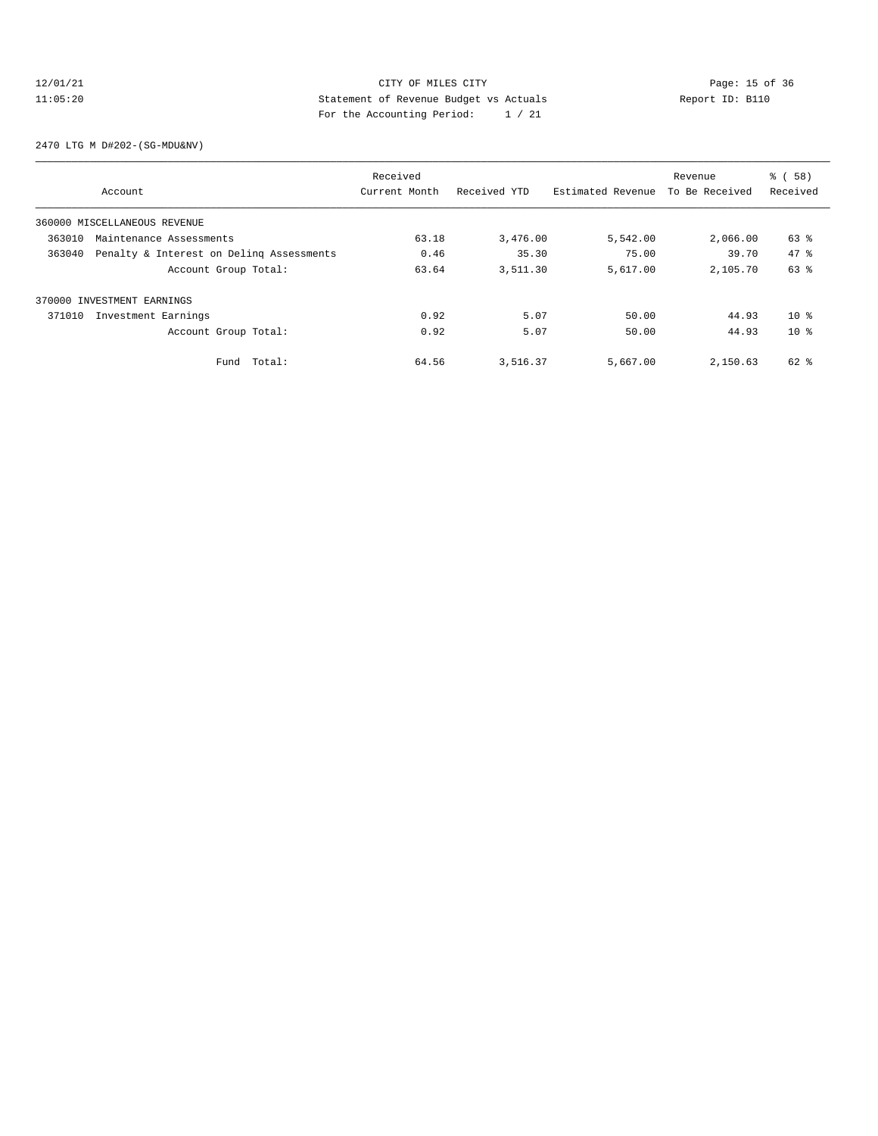# 12/01/21 CITY OF MILES CITY<br>11:05:20 Page: 15 of 36<br>11:05:20 Statement of Revenue Budget vs Actuals<br>11:05:20 Page: 15 of 36 11:05:20 Statement of Revenue Budget vs Actuals Report ID: B110 For the Accounting Period: 1 / 21

2470 LTG M D#202-(SG-MDU&NV)

| Account                                            | Received<br>Current Month | Received YTD | Estimated Revenue | Revenue<br>To Be Received | % (58)<br>Received |
|----------------------------------------------------|---------------------------|--------------|-------------------|---------------------------|--------------------|
| 360000 MISCELLANEOUS REVENUE                       |                           |              |                   |                           |                    |
| 363010<br>Maintenance Assessments                  | 63.18                     | 3,476.00     | 5,542.00          | 2,066.00                  | 63 %               |
| Penalty & Interest on Deling Assessments<br>363040 | 0.46                      | 35.30        | 75.00             | 39.70                     | $47*$              |
| Account Group Total:                               | 63.64                     | 3,511.30     | 5,617.00          | 2,105.70                  | 63 %               |
| 370000 INVESTMENT EARNINGS                         |                           |              |                   |                           |                    |
| Investment Earnings<br>371010                      | 0.92                      | 5.07         | 50.00             | 44.93                     | $10*$              |
| Account Group Total:                               | 0.92                      | 5.07         | 50.00             | 44.93                     | $10*$              |
| Total:<br>Fund                                     | 64.56                     | 3,516.37     | 5,667.00          | 2,150.63                  | 62 %               |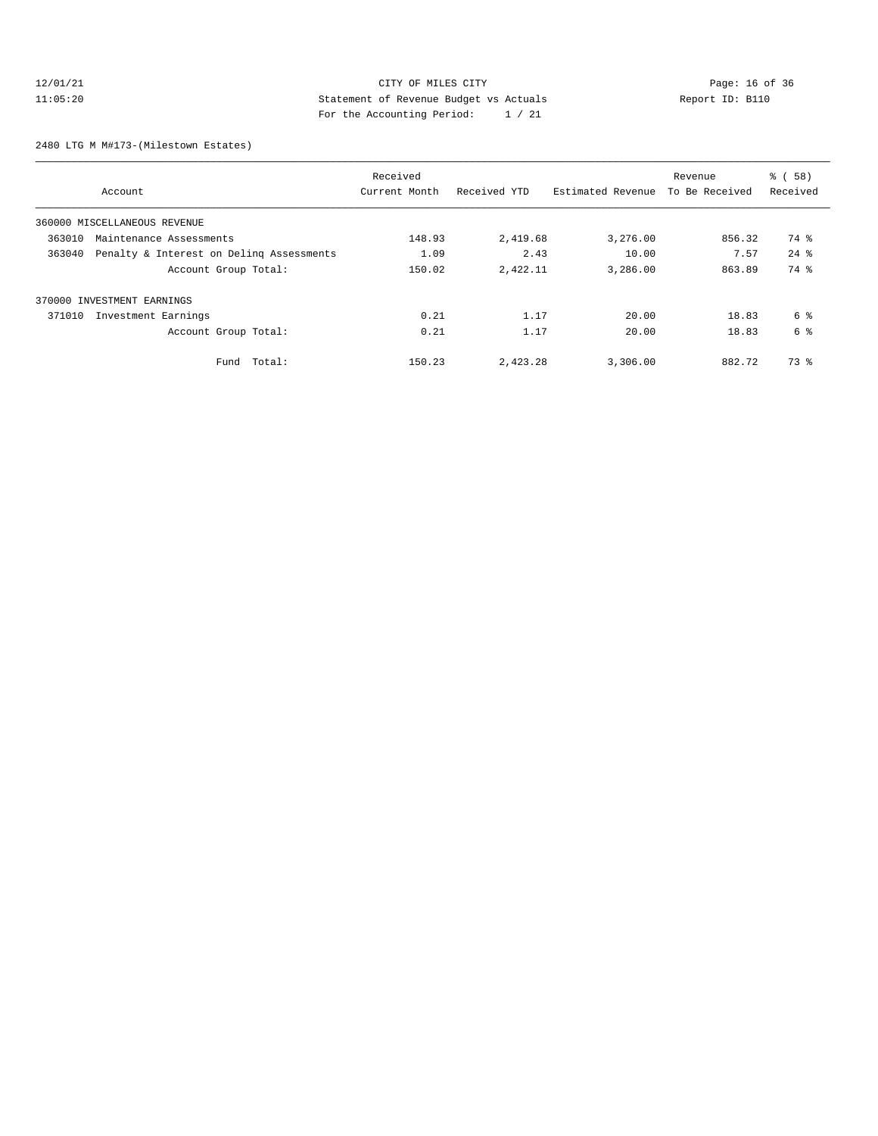# 12/01/21 CITY OF MILES CITY<br>11:05:20 Page: 16 of 36<br>11:05:20 Page: 16 of 36<br>21:05:20 Page: 17:05:20 11:05:20 Statement of Revenue Budget vs Actuals Report ID: B110 For the Accounting Period: 1 / 21

2480 LTG M M#173-(Milestown Estates)

| Account                       |                                          | Received<br>Current Month | Received YTD | Estimated Revenue | Revenue<br>To Be Received | <b>%</b> (<br>58)<br>Received |
|-------------------------------|------------------------------------------|---------------------------|--------------|-------------------|---------------------------|-------------------------------|
|                               |                                          |                           |              |                   |                           |                               |
| 360000 MISCELLANEOUS REVENUE  |                                          | 148.93                    |              |                   |                           | 74 %                          |
| 363010                        | Maintenance Assessments                  |                           | 2,419.68     | 3,276.00          | 856.32                    |                               |
| 363040                        | Penalty & Interest on Deling Assessments | 1.09                      | 2.43         | 10.00             | 7.57                      | $24$ $%$                      |
|                               | Account Group Total:                     | 150.02                    | 2,422.11     | 3,286.00          | 863.89                    | 74 %                          |
| 370000 INVESTMENT EARNINGS    |                                          |                           |              |                   |                           |                               |
| 371010<br>Investment Earnings |                                          | 0.21                      | 1.17         | 20.00             | 18.83                     | 6 %                           |
|                               | Account Group Total:                     | 0.21                      | 1.17         | 20.00             | 18.83                     | 6 %                           |
|                               | Fund Total:                              | 150.23                    | 2,423.28     | 3,306.00          | 882.72                    | 73.8                          |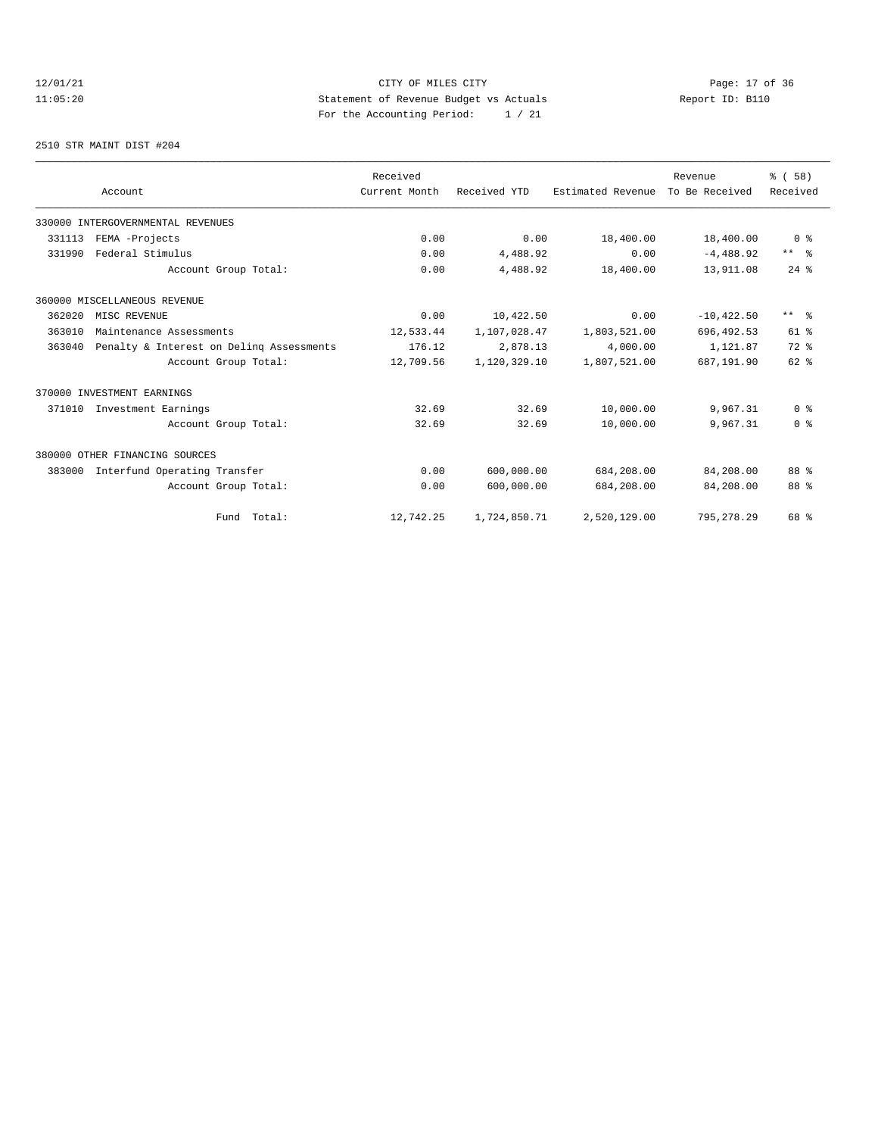# 12/01/21 CITY OF MILES CITY<br>11:05:20 Page: 17 of 36<br>11:05:20 Page: 17 of 36<br>11:05:20 11:05:20 Statement of Revenue Budget vs Actuals Report ID: B110 For the Accounting Period: 1 / 21

2510 STR MAINT DIST #204

|        |                                          | Received      |              |                   | Revenue        | % (58)         |
|--------|------------------------------------------|---------------|--------------|-------------------|----------------|----------------|
|        | Account                                  | Current Month | Received YTD | Estimated Revenue | To Be Received | Received       |
|        | 330000 INTERGOVERNMENTAL REVENUES        |               |              |                   |                |                |
| 331113 | FEMA -Projects                           | 0.00          | 0.00         | 18,400.00         | 18,400.00      | 0 <sup>8</sup> |
| 331990 | Federal Stimulus                         | 0.00          | 4,488.92     | 0.00              | $-4,488.92$    | $***$ $ -$     |
|        | Account Group Total:                     | 0.00          | 4,488.92     | 18,400.00         | 13,911.08      | $24$ $%$       |
|        | 360000 MISCELLANEOUS REVENUE             |               |              |                   |                |                |
| 362020 | MISC REVENUE                             | 0.00          | 10,422.50    | 0.00              | $-10, 422.50$  | $***$ $ -$     |
| 363010 | Maintenance Assessments                  | 12,533.44     | 1,107,028.47 | 1,803,521.00      | 696, 492.53    | 61 %           |
| 363040 | Penalty & Interest on Deling Assessments | 176.12        | 2,878.13     | 4,000.00          | 1,121.87       | 72 %           |
|        | Account Group Total:                     | 12,709.56     | 1,120,329.10 | 1,807,521.00      | 687,191.90     | $62$ $%$       |
|        | 370000 INVESTMENT EARNINGS               |               |              |                   |                |                |
| 371010 | Investment Earnings                      | 32.69         | 32.69        | 10,000.00         | 9,967.31       | 0 <sup>8</sup> |
|        | Account Group Total:                     | 32.69         | 32.69        | 10,000.00         | 9,967.31       | 0 <sup>8</sup> |
|        | 380000 OTHER FINANCING SOURCES           |               |              |                   |                |                |
| 383000 | Interfund Operating Transfer             | 0.00          | 600,000.00   | 684,208.00        | 84,208.00      | 88 %           |
|        | Account Group Total:                     | 0.00          | 600,000.00   | 684,208.00        | 84,208.00      | 88 %           |
|        | Fund Total:                              | 12,742.25     | 1,724,850.71 | 2,520,129.00      | 795, 278.29    | 68 %           |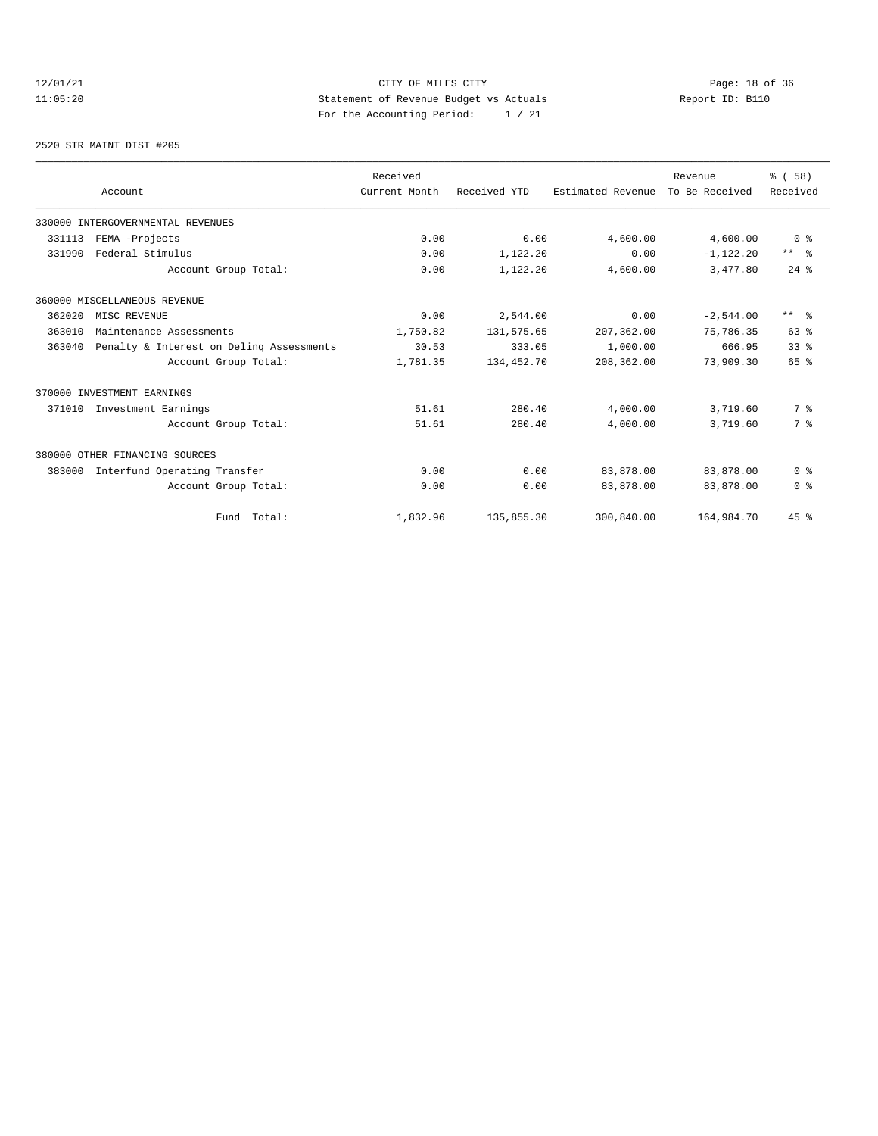# 12/01/21 CITY OF MILES CITY<br>11:05:20 Page: 18 of 36<br>11:05:20 Page: 18 of 36<br>11:05:20 11:05:20 Statement of Revenue Budget vs Actuals Report ID: B110 For the Accounting Period: 1 / 21

2520 STR MAINT DIST #205

|                                                    | Received      |              |                   | Revenue        | % (58)          |
|----------------------------------------------------|---------------|--------------|-------------------|----------------|-----------------|
| Account                                            | Current Month | Received YTD | Estimated Revenue | To Be Received | Received        |
| 330000 INTERGOVERNMENTAL REVENUES                  |               |              |                   |                |                 |
| 331113<br>FEMA -Projects                           | 0.00          | 0.00         | 4,600.00          | 4,600.00       | 0 <sup>8</sup>  |
| Federal Stimulus<br>331990                         | 0.00          | 1,122.20     | 0.00              | $-1, 122.20$   | $***$ $ -$      |
| Account Group Total:                               | 0.00          | 1,122.20     | 4,600.00          | 3,477.80       | $24$ $%$        |
| 360000 MISCELLANEOUS REVENUE                       |               |              |                   |                |                 |
| 362020<br>MISC REVENUE                             | 0.00          | 2,544.00     | 0.00              | $-2,544.00$    | $***$ $ -$      |
| 363010<br>Maintenance Assessments                  | 1,750.82      | 131,575.65   | 207,362.00        | 75,786.35      | 63 <sup>8</sup> |
| 363040<br>Penalty & Interest on Deling Assessments | 30.53         | 333.05       | 1,000.00          | 666.95         | 33 <sup>8</sup> |
| Account Group Total:                               | 1,781.35      | 134,452.70   | 208,362.00        | 73,909.30      | 65 %            |
| 370000 INVESTMENT EARNINGS                         |               |              |                   |                |                 |
| 371010<br>Investment Earnings                      | 51.61         | 280.40       | 4,000.00          | 3,719.60       | 7 %             |
| Account Group Total:                               | 51.61         | 280.40       | 4,000.00          | 3,719.60       | 7 %             |
| 380000 OTHER FINANCING SOURCES                     |               |              |                   |                |                 |
| Interfund Operating Transfer<br>383000             | 0.00          | 0.00         | 83,878.00         | 83,878.00      | 0 <sup>8</sup>  |
| Account Group Total:                               | 0.00          | 0.00         | 83,878.00         | 83,878.00      | 0 <sup>8</sup>  |
| Fund Total:                                        | 1,832.96      | 135,855.30   | 300,840.00        | 164,984.70     | 45 %            |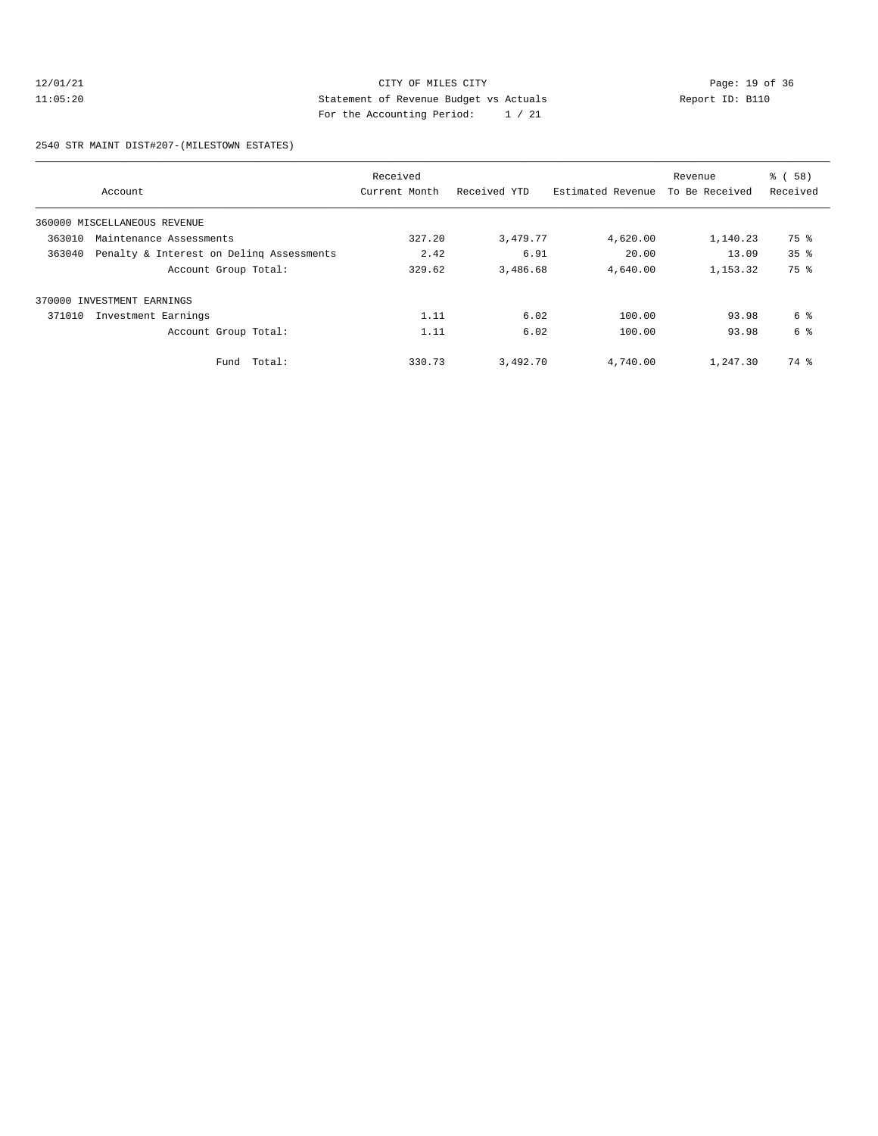# 12/01/21 Page: 19 of 36 CITY OF MILES CITY CHANGES CONTROL PAGE: 19 of 36 11:05:20 Statement of Revenue Budget vs Actuals Report ID: B110 For the Accounting Period: 1 / 21

2540 STR MAINT DIST#207-(MILESTOWN ESTATES)

| Account                                            | Received<br>Current Month | Received YTD | Estimated Revenue | Revenue<br>To Be Received | % (58)<br>Received |
|----------------------------------------------------|---------------------------|--------------|-------------------|---------------------------|--------------------|
| 360000 MISCELLANEOUS REVENUE                       |                           |              |                   |                           |                    |
| 363010<br>Maintenance Assessments                  | 327.20                    | 3,479.77     | 4,620.00          | 1,140.23                  | 75 %               |
| Penalty & Interest on Deling Assessments<br>363040 | 2.42                      | 6.91         | 20.00             | 13.09                     | 35 <sup>8</sup>    |
| Account Group Total:                               | 329.62                    | 3,486.68     | 4,640.00          | 1,153.32                  | 75 %               |
| 370000 INVESTMENT EARNINGS                         |                           |              |                   |                           |                    |
| 371010<br>Investment Earnings                      | 1.11                      | 6.02         | 100.00            | 93.98                     | 6 %                |
| Account Group Total:                               | 1.11                      | 6.02         | 100.00            | 93.98                     | 6 %                |
| Fund Total:                                        | 330.73                    | 3,492.70     | 4,740.00          | 1,247.30                  | 74 %               |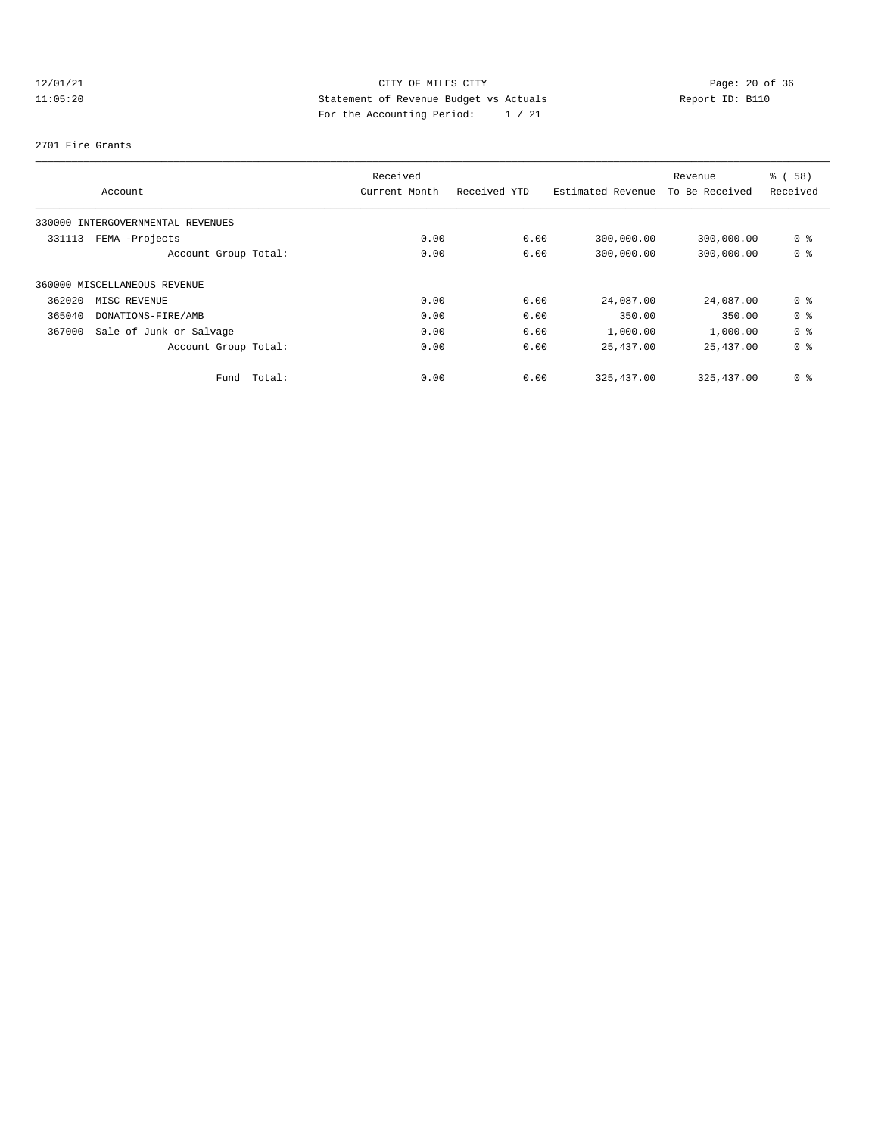# 12/01/21 Page: 20 of 36 Page: 20 of 36 Page: 20 of 36 Page: 20 of 36 Page: 20 of 36 11:05:20 Statement of Revenue Budget vs Actuals Report ID: B110 For the Accounting Period: 1 / 21

#### 2701 Fire Grants

|        |                                   |             | Received      |              |                   | Revenue        | % ( 58 ) |
|--------|-----------------------------------|-------------|---------------|--------------|-------------------|----------------|----------|
|        | Account                           |             | Current Month | Received YTD | Estimated Revenue | To Be Received | Received |
|        | 330000 INTERGOVERNMENTAL REVENUES |             |               |              |                   |                |          |
| 331113 | FEMA -Projects                    |             | 0.00          | 0.00         | 300,000.00        | 300,000.00     | 0 %      |
|        | Account Group Total:              |             | 0.00          | 0.00         | 300,000.00        | 300,000.00     | 0 %      |
|        | 360000 MISCELLANEOUS REVENUE      |             |               |              |                   |                |          |
| 362020 | MISC REVENUE                      |             | 0.00          | 0.00         | 24,087.00         | 24,087.00      | 0 %      |
| 365040 | DONATIONS-FIRE/AMB                |             | 0.00          | 0.00         | 350.00            | 350.00         | 0 %      |
| 367000 | Sale of Junk or Salvage           |             | 0.00          | 0.00         | 1,000.00          | 1,000.00       | 0 %      |
|        | Account Group Total:              |             | 0.00          | 0.00         | 25,437.00         | 25,437.00      | 0 %      |
|        |                                   | Fund Total: | 0.00          | 0.00         | 325, 437.00       | 325,437.00     | 0 %      |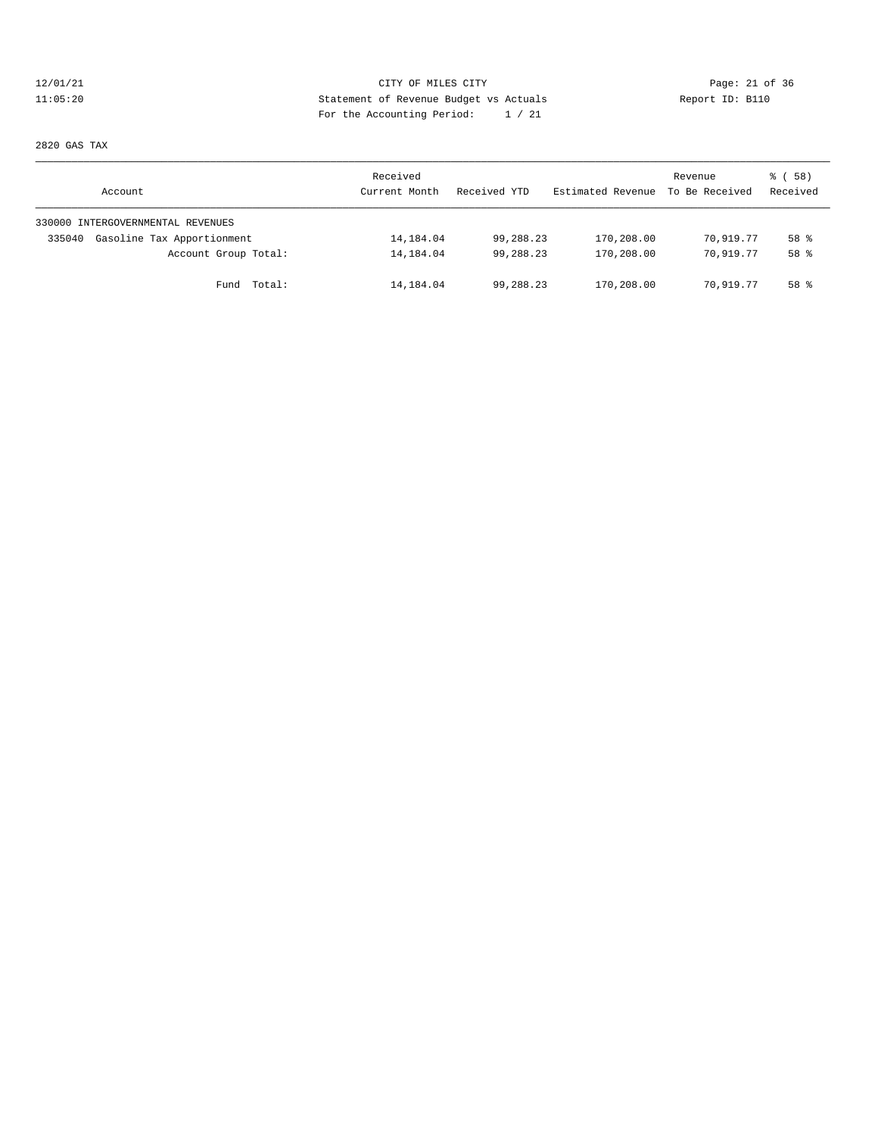# 12/01/21 CITY OF MILES CITY CHE CITY Page: 21 of 36<br>11:05:20 Statement of Revenue Budget vs Actuals Report ID: B110 11:05:20 Statement of Revenue Budget vs Actuals Report ID: B110 For the Accounting Period: 1 / 21

2820 GAS TAX

| Account                              | Received<br>Current Month | Received YTD | Estimated Revenue To Be Received | Revenue   | 8 ( 58 )<br>Received |
|--------------------------------------|---------------------------|--------------|----------------------------------|-----------|----------------------|
| 330000 INTERGOVERNMENTAL REVENUES    |                           |              |                                  |           |                      |
| Gasoline Tax Apportionment<br>335040 | 14,184.04                 | 99,288.23    | 170,208.00                       | 70,919.77 | 58 %                 |
| Account Group Total:                 | 14,184.04                 | 99,288.23    | 170,208.00                       | 70,919.77 | 58 %                 |
| Fund Total:                          | 14,184.04                 | 99,288.23    | 170,208.00                       | 70,919.77 | 58 %                 |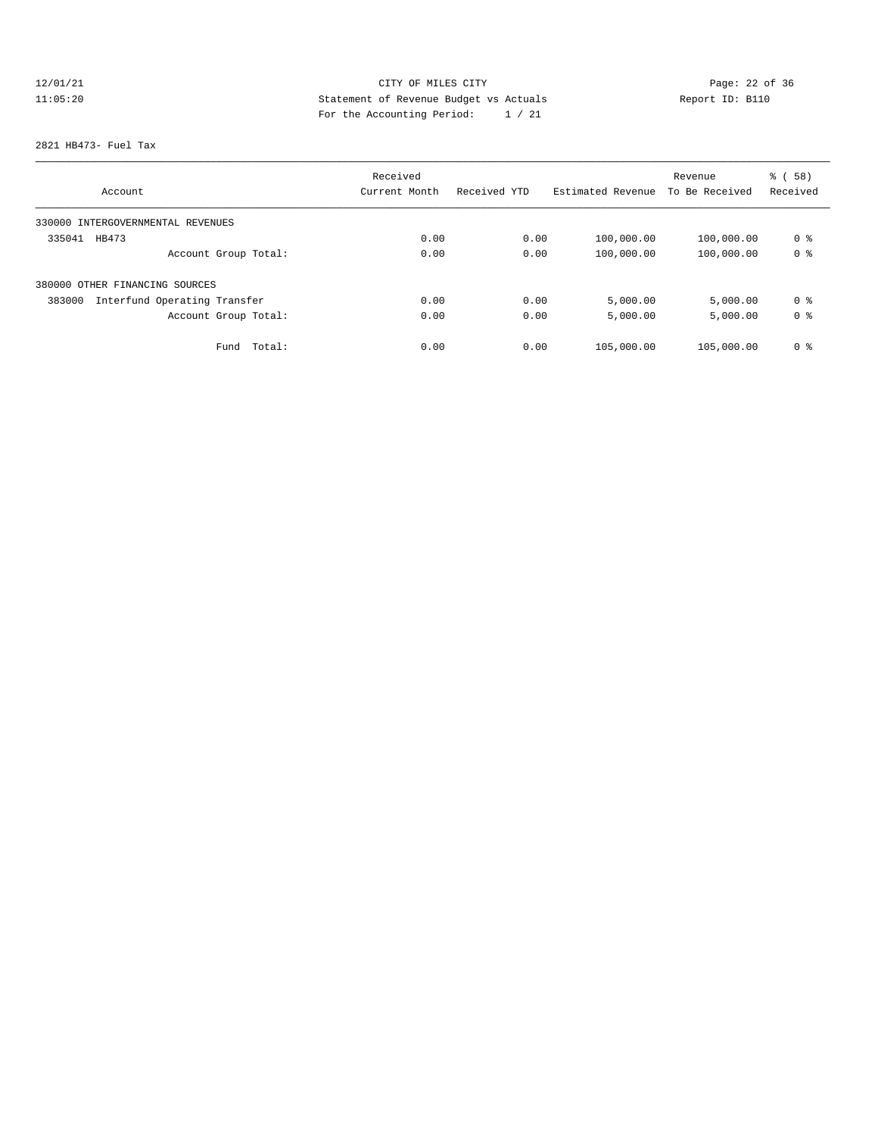# 12/01/21 Page: 22 of 36 11:05:20 Statement of Revenue Budget vs Actuals Report ID: B110 For the Accounting Period: 1 / 21

#### 2821 HB473- Fuel Tax

|                                        | Received      |              |                   | Revenue        | % (58)         |
|----------------------------------------|---------------|--------------|-------------------|----------------|----------------|
| Account                                | Current Month | Received YTD | Estimated Revenue | To Be Received | Received       |
| 330000 INTERGOVERNMENTAL REVENUES      |               |              |                   |                |                |
| 335041<br>HB473                        | 0.00          | 0.00         | 100,000.00        | 100,000.00     | 0 %            |
| Account Group Total:                   | 0.00          | 0.00         | 100,000.00        | 100,000.00     | 0 <sup>8</sup> |
| 380000 OTHER FINANCING SOURCES         |               |              |                   |                |                |
| Interfund Operating Transfer<br>383000 | 0.00          | 0.00         | 5,000.00          | 5,000.00       | 0 %            |
| Account Group Total:                   | 0.00          | 0.00         | 5,000.00          | 5,000.00       | 0 %            |
| Fund<br>Total:                         | 0.00          | 0.00         | 105,000.00        | 105,000.00     | 0 %            |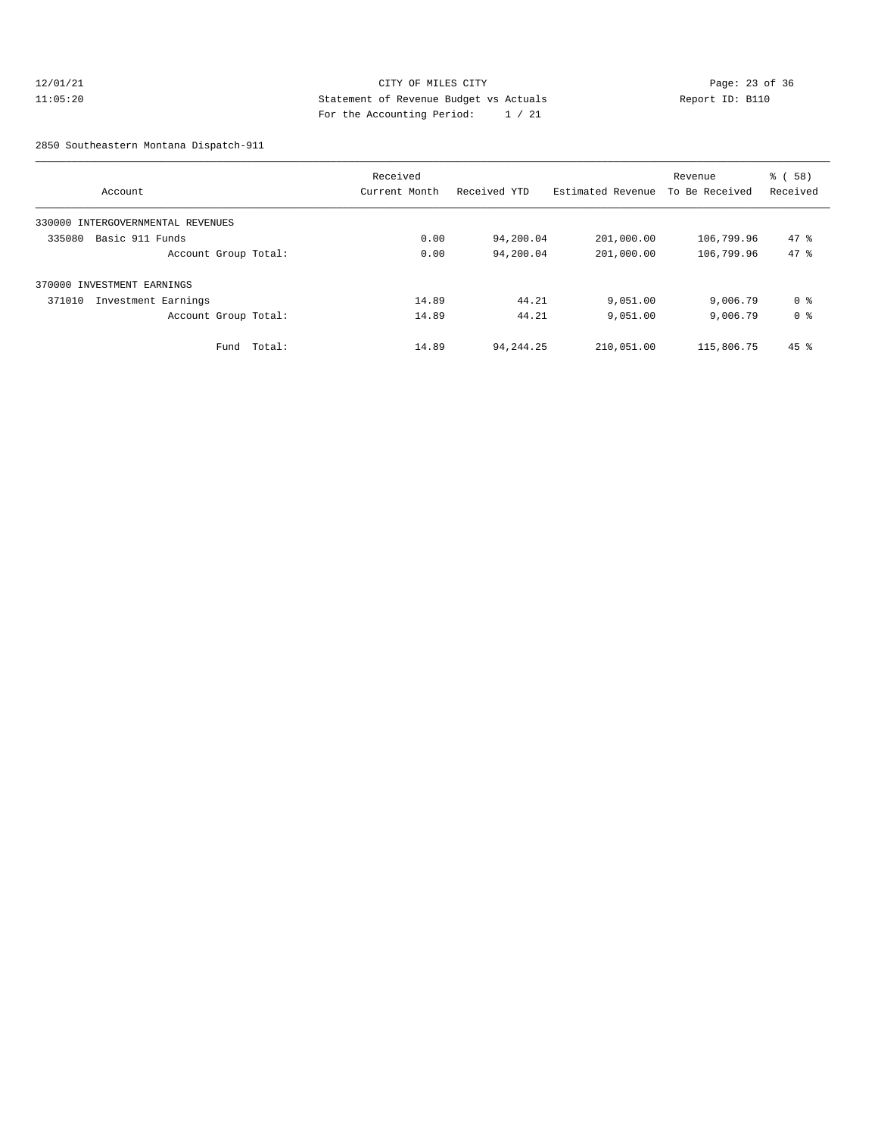#### 12/01/21 Page: 23 of 36 11:05:20 Statement of Revenue Budget vs Actuals Report ID: B110 For the Accounting Period: 1 / 21

2850 Southeastern Montana Dispatch-911

| Account                           |        | Received<br>Current Month | Received YTD | Estimated Revenue | Revenue<br>To Be Received | 8 ( 58 )<br>Received |
|-----------------------------------|--------|---------------------------|--------------|-------------------|---------------------------|----------------------|
|                                   |        |                           |              |                   |                           |                      |
| 330000 INTERGOVERNMENTAL REVENUES |        |                           |              |                   |                           |                      |
| Basic 911 Funds<br>335080         |        | 0.00                      | 94,200.04    | 201,000.00        | 106,799.96                | $47*$                |
| Account Group Total:              |        | 0.00                      | 94,200.04    | 201,000.00        | 106,799.96                | 47.8                 |
| 370000 INVESTMENT EARNINGS        |        |                           |              |                   |                           |                      |
| 371010<br>Investment Earnings     |        | 14.89                     | 44.21        | 9,051.00          | 9,006.79                  | 0 %                  |
| Account Group Total:              |        | 14.89                     | 44.21        | 9,051.00          | 9,006.79                  | 0 %                  |
| Fund                              | Total: | 14.89                     | 94, 244. 25  | 210,051.00        | 115,806.75                | $45$ %               |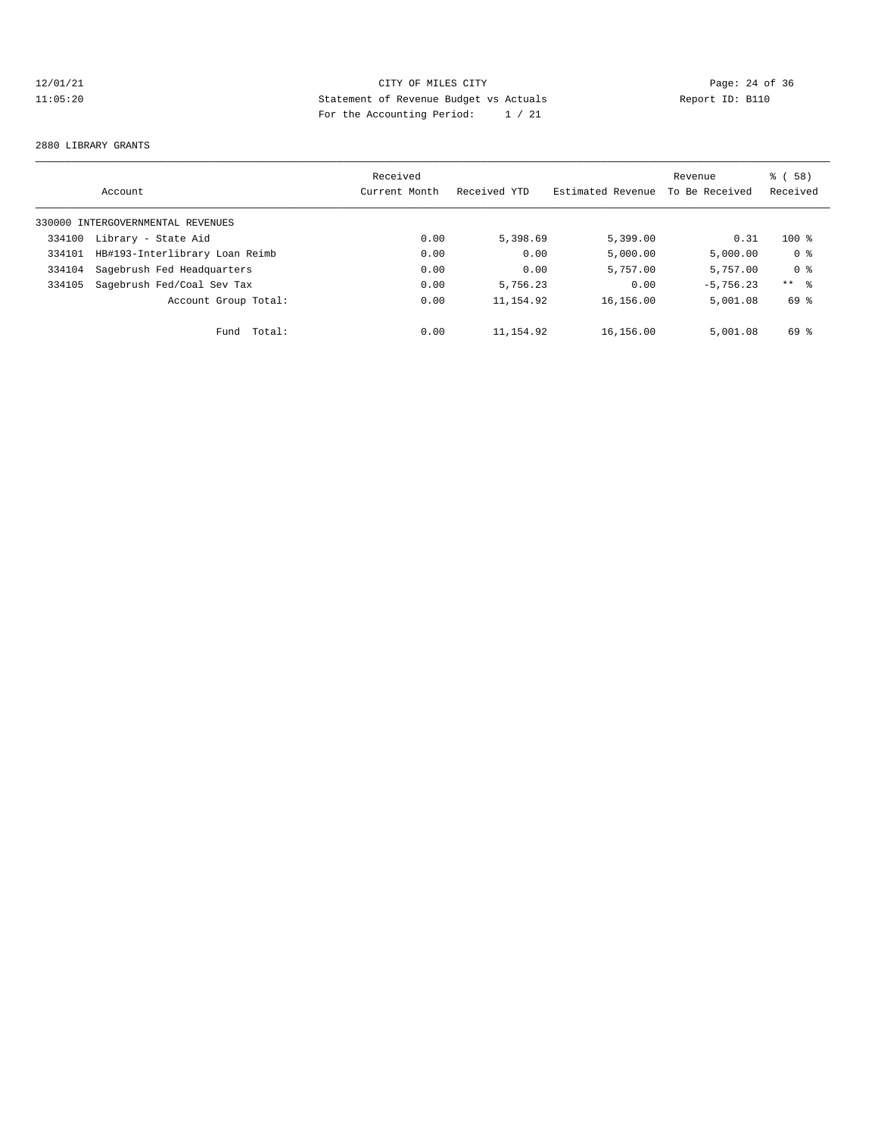# 12/01/21 Page: 24 of 36 11:05:20 Statement of Revenue Budget vs Actuals Report ID: B110 For the Accounting Period: 1 / 21

#### 2880 LIBRARY GRANTS

|        | Account                           | Received<br>Current Month | Received YTD | Estimated Revenue | Revenue<br>To Be Received | 8 ( 58 )<br>Received |
|--------|-----------------------------------|---------------------------|--------------|-------------------|---------------------------|----------------------|
|        |                                   |                           |              |                   |                           |                      |
|        | 330000 INTERGOVERNMENTAL REVENUES |                           |              |                   |                           |                      |
| 334100 | Library - State Aid               | 0.00                      | 5,398.69     | 5,399.00          | 0.31                      | $100$ %              |
| 334101 | HB#193-Interlibrary Loan Reimb    | 0.00                      | 0.00         | 5,000.00          | 5,000.00                  | 0 %                  |
| 334104 | Sagebrush Fed Headquarters        | 0.00                      | 0.00         | 5,757.00          | 5,757.00                  | 0 <sup>8</sup>       |
| 334105 | Sagebrush Fed/Coal Sev Tax        | 0.00                      | 5,756.23     | 0.00              | $-5.756.23$               | $***$ %              |
|        | Account Group Total:              | 0.00                      | 11, 154.92   | 16,156.00         | 5,001.08                  | 69 %                 |
|        | Total:<br>Fund                    | 0.00                      | 11,154.92    | 16,156.00         | 5,001.08                  | 69 %                 |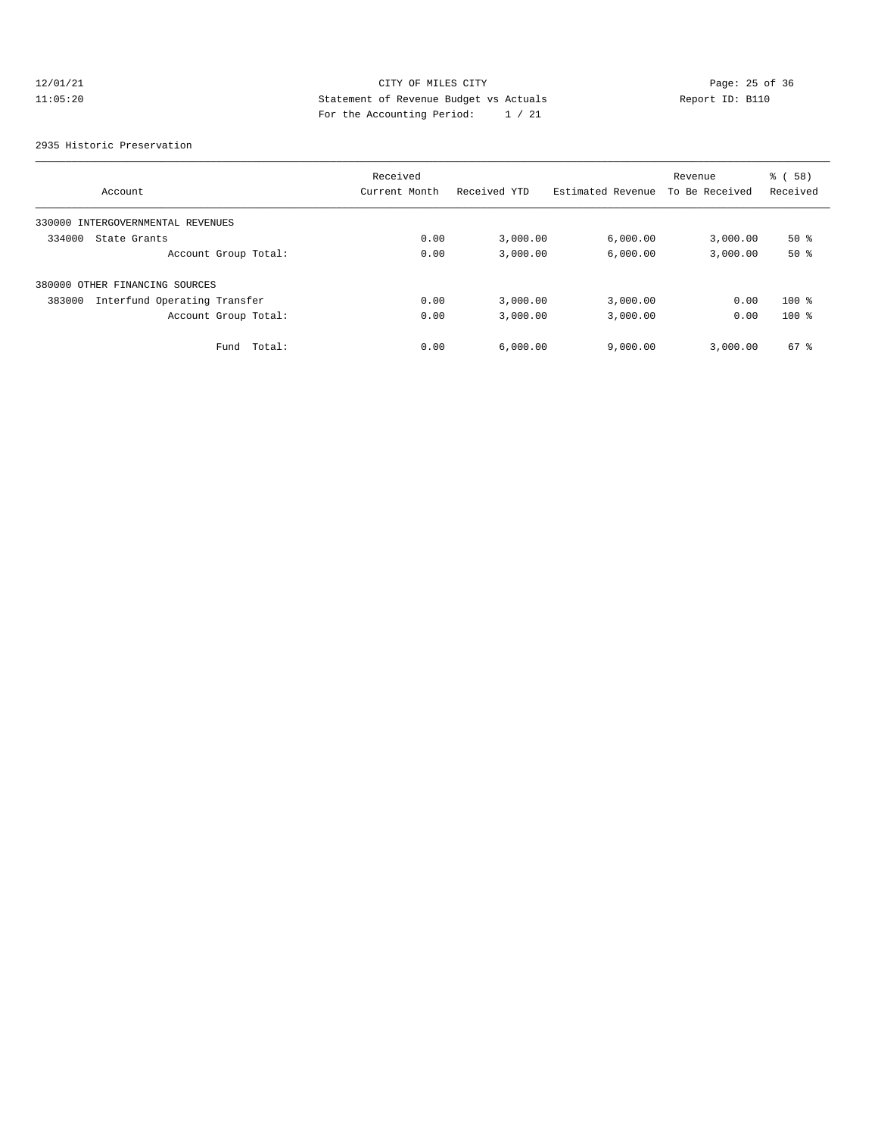# 12/01/21 Page: 25 of 36 Page: 25 of 36 Page: 25 of 36 Page: 25 of 36 Page: 25 of 36 11:05:20 Statement of Revenue Budget vs Actuals Report ID: B110 For the Accounting Period: 1 / 21

#### 2935 Historic Preservation

|                                        | Received      |              |                   | Revenue        | % (58)   |
|----------------------------------------|---------------|--------------|-------------------|----------------|----------|
| Account                                | Current Month | Received YTD | Estimated Revenue | To Be Received | Received |
| 330000 INTERGOVERNMENTAL REVENUES      |               |              |                   |                |          |
| 334000<br>State Grants                 | 0.00          | 3,000.00     | 6,000.00          | 3,000.00       | $50*$    |
| Account Group Total:                   | 0.00          | 3,000.00     | 6,000.00          | 3,000.00       | 50%      |
| 380000 OTHER FINANCING SOURCES         |               |              |                   |                |          |
| Interfund Operating Transfer<br>383000 | 0.00          | 3,000.00     | 3,000.00          | 0.00           | $100$ %  |
| Account Group Total:                   | 0.00          | 3,000.00     | 3,000.00          | 0.00           | $100*$   |
| Fund<br>Total:                         | 0.00          | 6.000.00     | 9,000.00          | 3.000.00       | 67 %     |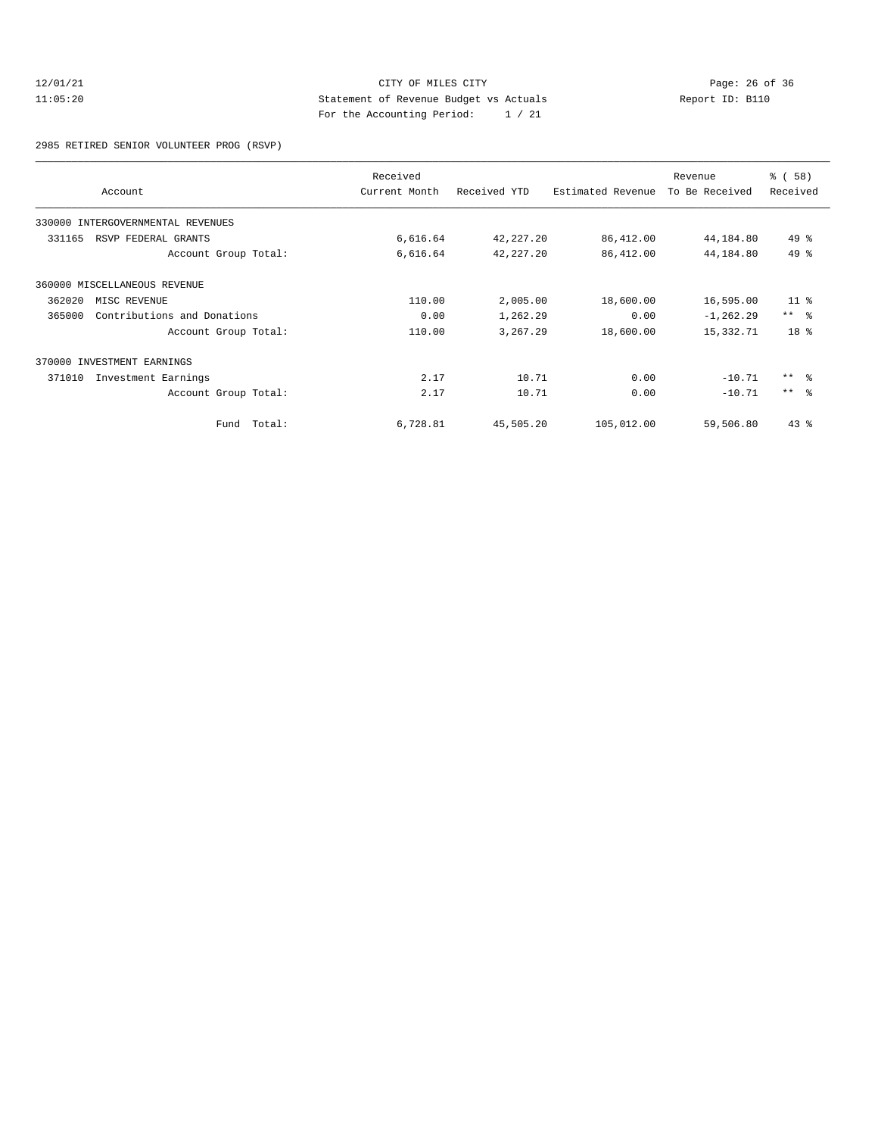#### 12/01/21 CITY OF MILES CITY<br>11:05:20 Page: 26 of 36<br>11:05:20 Page: 26 of 36<br>11:05:20 11:05:20 Statement of Revenue Budget vs Actuals Report ID: B110 For the Accounting Period: 1 / 21

2985 RETIRED SENIOR VOLUNTEER PROG (RSVP)

|        |                                   | Received      |              |                   | Revenue        | % (58)          |
|--------|-----------------------------------|---------------|--------------|-------------------|----------------|-----------------|
|        | Account                           | Current Month | Received YTD | Estimated Revenue | To Be Received | Received        |
|        | 330000 INTERGOVERNMENTAL REVENUES |               |              |                   |                |                 |
| 331165 | RSVP FEDERAL GRANTS               | 6,616.64      | 42,227.20    | 86,412.00         | 44,184.80      | 49 %            |
|        | Account Group Total:              | 6,616.64      | 42, 227. 20  | 86,412.00         | 44,184.80      | $49*$           |
|        | 360000 MISCELLANEOUS REVENUE      |               |              |                   |                |                 |
| 362020 | MISC REVENUE                      | 110.00        | 2,005.00     | 18,600.00         | 16,595.00      | 11 <sup>8</sup> |
| 365000 | Contributions and Donations       | 0.00          | 1,262.29     | 0.00              | $-1, 262.29$   | $***$ $-$       |
|        | Account Group Total:              | 110.00        | 3,267.29     | 18,600.00         | 15,332.71      | 18 <sup>8</sup> |
|        | 370000 INVESTMENT EARNINGS        |               |              |                   |                |                 |
| 371010 | Investment Earnings               | 2.17          | 10.71        | 0.00              | $-10.71$       | $***$ $\approx$ |
|        | Account Group Total:              | 2.17          | 10.71        | 0.00              | $-10.71$       | $***$ $=$       |
|        | Fund Total:                       | 6,728.81      | 45,505.20    | 105,012.00        | 59,506.80      | $43*$           |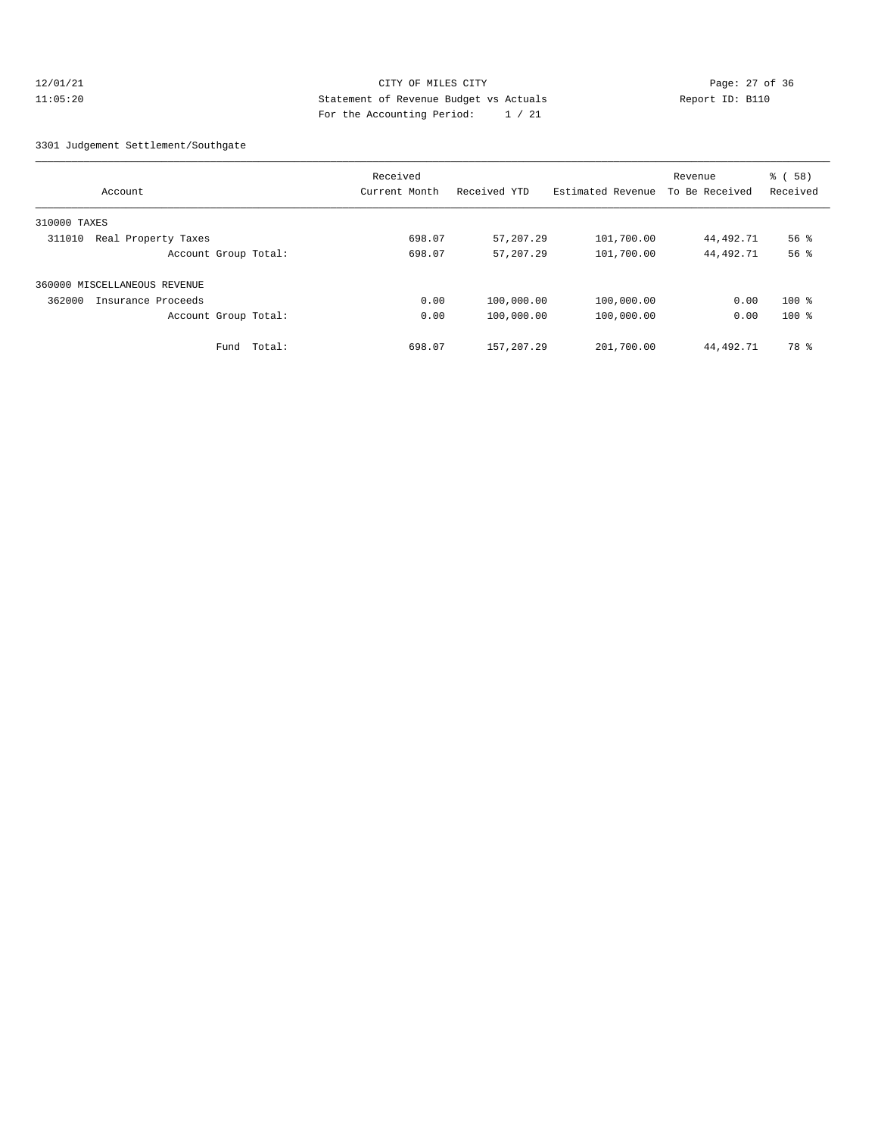#### 12/01/21 Page: 27 of 36 Page: 27 of 36 Page: 27 of 36 Page: 27 of 36 Page: 27 of 36 11:05:20 Statement of Revenue Budget vs Actuals Report ID: B110 For the Accounting Period: 1 / 21

#### 3301 Judgement Settlement/Southgate

|                               | Received      |              |                   | Revenue        | % (58)             |
|-------------------------------|---------------|--------------|-------------------|----------------|--------------------|
| Account                       | Current Month | Received YTD | Estimated Revenue | To Be Received | Received           |
| 310000 TAXES                  |               |              |                   |                |                    |
| Real Property Taxes<br>311010 | 698.07        | 57,207.29    | 101,700.00        | 44,492.71      | $56$ $\frac{6}{3}$ |
| Account Group Total:          | 698.07        | 57, 207, 29  | 101,700.00        | 44,492.71      | 56 <sup>8</sup>    |
| 360000 MISCELLANEOUS REVENUE  |               |              |                   |                |                    |
| 362000<br>Insurance Proceeds  | 0.00          | 100,000.00   | 100,000.00        | 0.00           | $100$ %            |
| Account Group Total:          | 0.00          | 100,000.00   | 100,000.00        | 0.00           | $100$ %            |
| Total:<br>Fund                | 698.07        | 157, 207, 29 | 201,700.00        | 44,492.71      | 78 %               |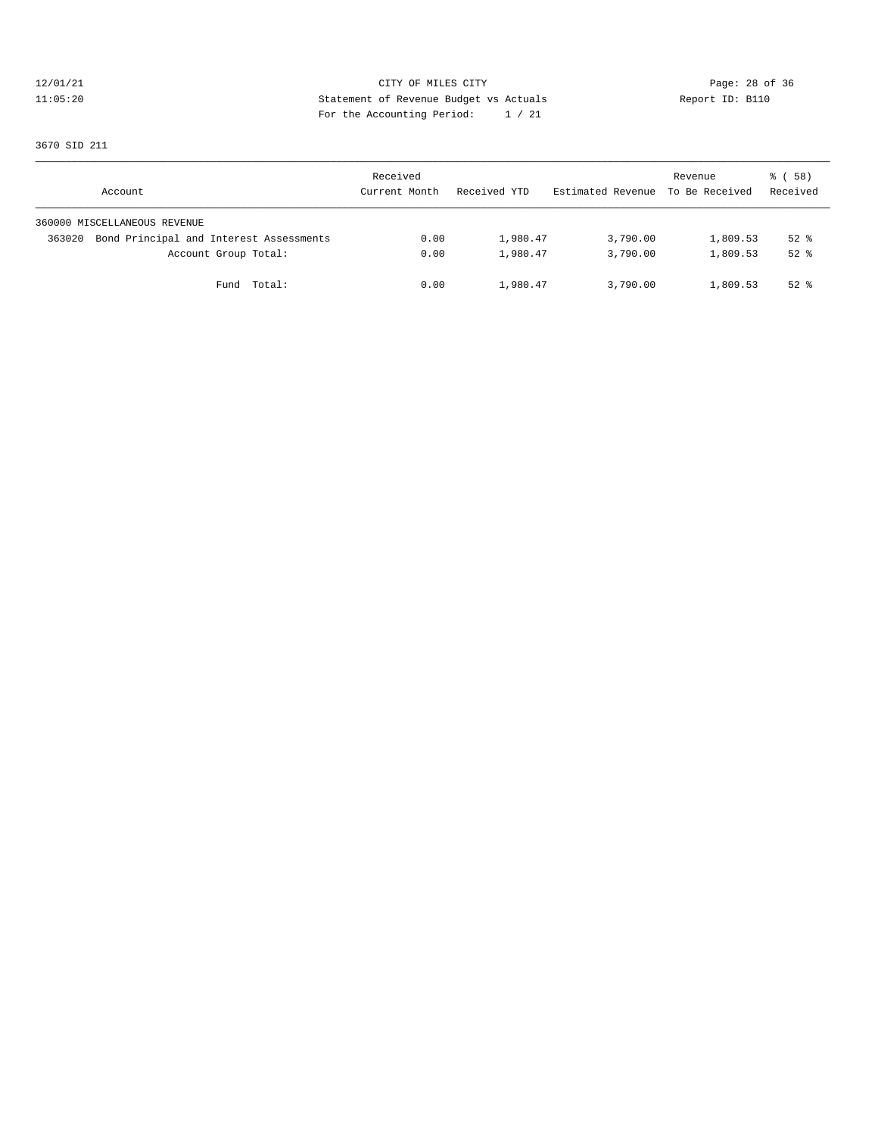# 12/01/21 CITY OF MILES CITY<br>11:05:20 Page: 28 of 36<br>11:05:20 CITY OF MILES CITY<br>11:05:20 Page: 28 of 36 11:05:20 Statement of Revenue Budget vs Actuals Report ID: B110 For the Accounting Period: 1 / 21

3670 SID 211

| Account                                           | Received<br>Current Month | Received YTD | Estimated Revenue To Be Received | Revenue  | 8 ( 58 )<br>Received |
|---------------------------------------------------|---------------------------|--------------|----------------------------------|----------|----------------------|
| 360000 MISCELLANEOUS REVENUE                      |                           |              |                                  |          |                      |
| Bond Principal and Interest Assessments<br>363020 | 0.00                      | 1,980.47     | 3,790.00                         | 1,809.53 | $52$ $%$             |
| Account Group Total:                              | 0.00                      | 1,980.47     | 3,790.00                         | 1,809.53 | $52$ $%$             |
| Fund Total:                                       | 0.00                      | 1,980.47     | 3,790.00                         | 1,809.53 | $52$ $%$             |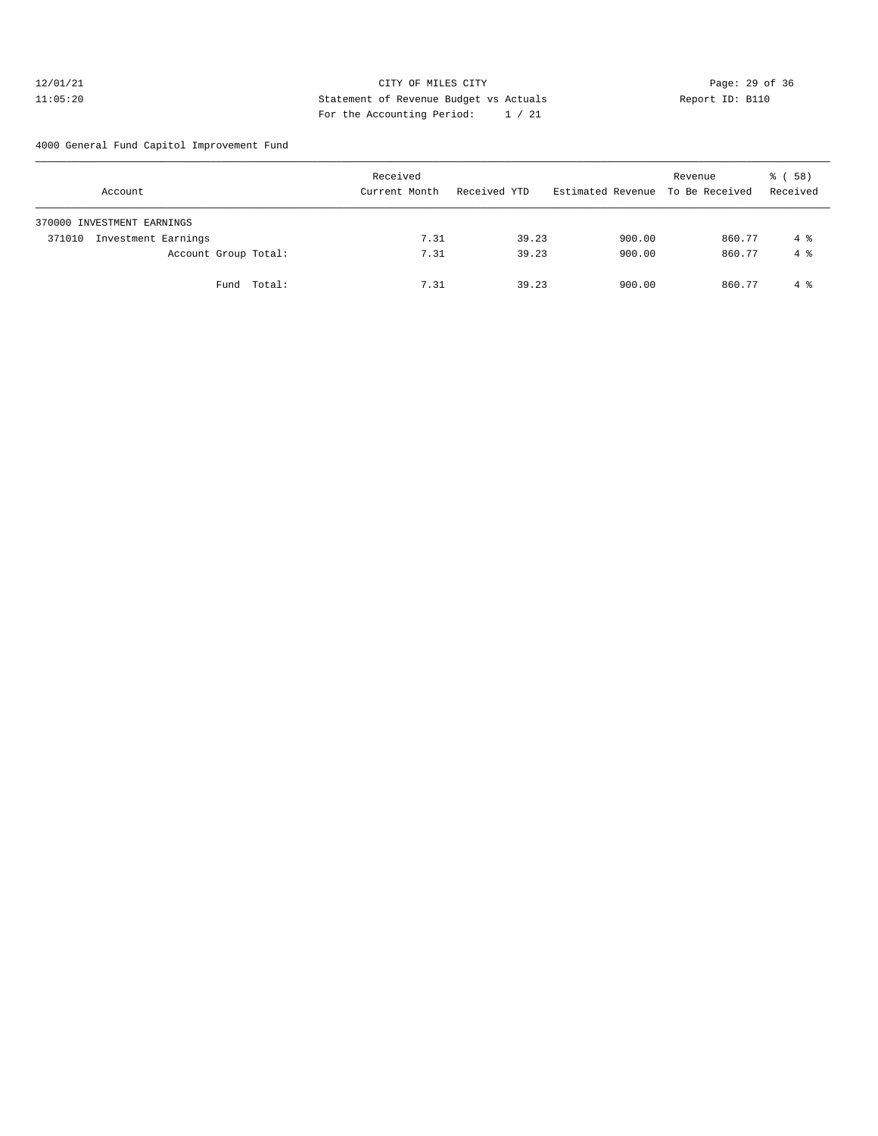#### 12/01/21 **CITY OF MILES CITY CITY CITY Page: 29 of 36** 11:05:20 Statement of Revenue Budget vs Actuals Report ID: B110 For the Accounting Period: 1 / 21

4000 General Fund Capitol Improvement Fund

| Account                       | Received<br>Current Month | Received YTD | Estimated Revenue To Be Received | Revenue | % (58)<br>Received |
|-------------------------------|---------------------------|--------------|----------------------------------|---------|--------------------|
| 370000 INVESTMENT EARNINGS    |                           |              |                                  |         |                    |
| Investment Earnings<br>371010 | 7.31                      | 39.23        | 900.00                           | 860.77  | 4 %                |
| Account Group Total:          | 7.31                      | 39.23        | 900.00                           | 860.77  | $4 \text{ }$       |
| Fund Total:                   | 7.31                      | 39.23        | 900.00                           | 860.77  | $4\degree$         |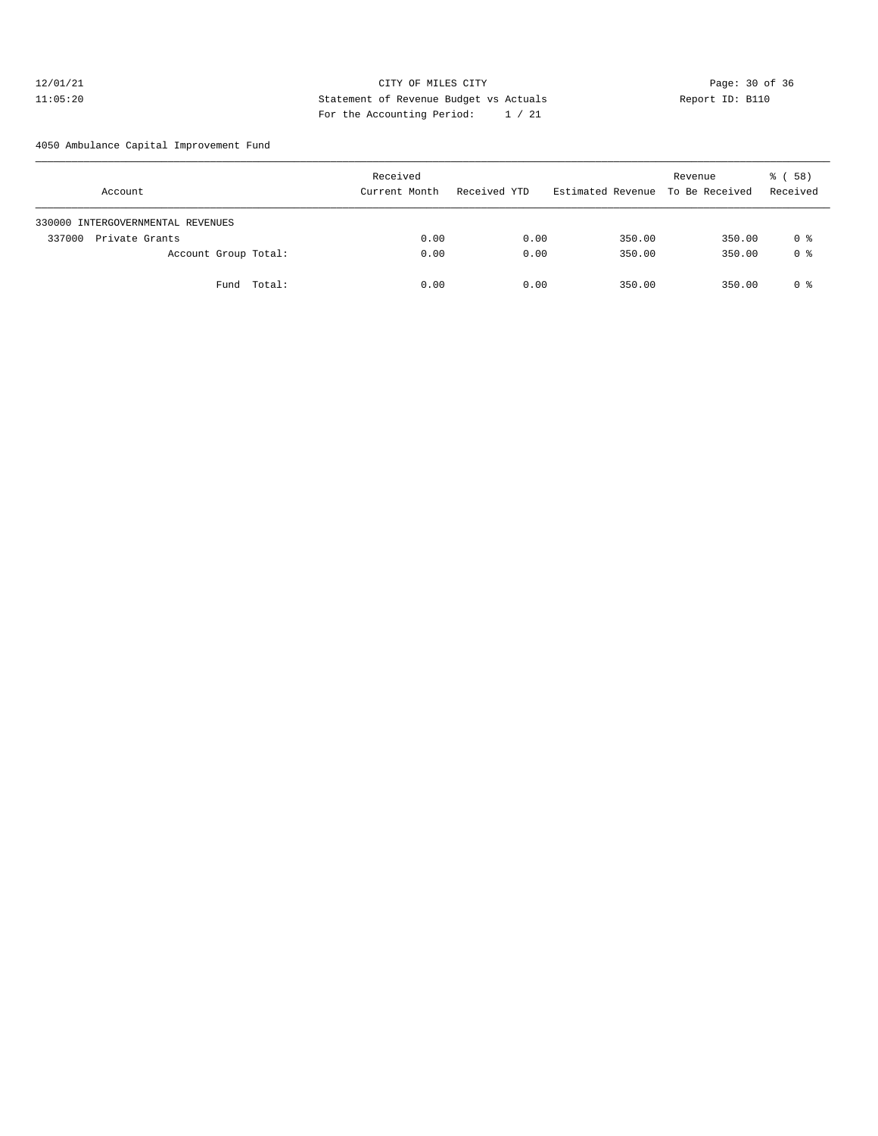#### 12/01/21 Page: 30 of 36 Page: 30 of 36 Page: 30 of 36 Page: 30 of 36 Page: 30 of 36 Page: 30 of 36 Page: 30 of 36 11:05:20 Statement of Revenue Budget vs Actuals Report ID: B110 For the Accounting Period: 1 / 21

4050 Ambulance Capital Improvement Fund

| Account                           | Received<br>Current Month | Received YTD | Estimated Revenue To Be Received | Revenue | 8 ( 58 )<br>Received |
|-----------------------------------|---------------------------|--------------|----------------------------------|---------|----------------------|
| 330000 INTERGOVERNMENTAL REVENUES |                           |              |                                  |         |                      |
| Private Grants<br>337000          | 0.00                      | 0.00         | 350.00                           | 350.00  | 0 %                  |
| Account Group Total:              | 0.00                      | 0.00         | 350.00                           | 350.00  | 0 %                  |
| Fund Total:                       | 0.00                      | 0.00         | 350.00                           | 350.00  | 0 %                  |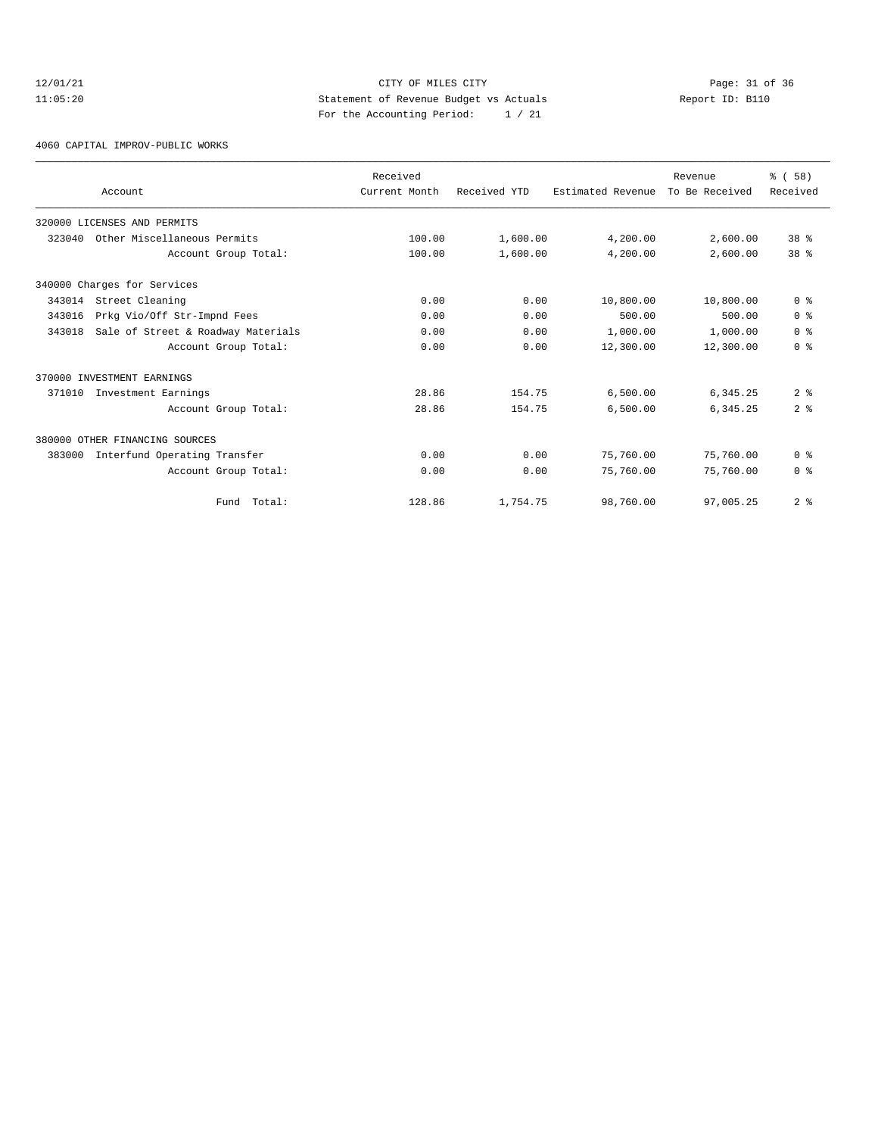# 12/01/21 CITY OF MILES CITY<br>11:05:20 Page: 31 of 36<br>11:05:20 Page: 31 of 36<br>11:05:20 Page: 31 of 36<br>11:05:20 11:05:20 Statement of Revenue Budget vs Actuals Report ID: B110 For the Accounting Period: 1 / 21

4060 CAPITAL IMPROV-PUBLIC WORKS

|        | Account                            | Received<br>Current Month | Received YTD | Estimated Revenue | Revenue<br>To Be Received | % (58)<br>Received |
|--------|------------------------------------|---------------------------|--------------|-------------------|---------------------------|--------------------|
|        | 320000 LICENSES AND PERMITS        |                           |              |                   |                           |                    |
| 323040 | Other Miscellaneous Permits        | 100.00                    | 1,600.00     | 4,200.00          | 2,600.00                  | 38 <sup>8</sup>    |
|        | Account Group Total:               | 100.00                    | 1,600.00     | 4,200.00          | 2,600.00                  | 38 <sup>8</sup>    |
|        | 340000 Charges for Services        |                           |              |                   |                           |                    |
| 343014 | Street Cleaning                    | 0.00                      | 0.00         | 10,800.00         | 10,800.00                 | 0 <sup>8</sup>     |
| 343016 | Prkg Vio/Off Str-Impnd Fees        | 0.00                      | 0.00         | 500.00            | 500.00                    | 0 <sup>8</sup>     |
| 343018 | Sale of Street & Roadway Materials | 0.00                      | 0.00         | 1,000.00          | 1,000.00                  | 0 <sup>8</sup>     |
|        | Account Group Total:               | 0.00                      | 0.00         | 12,300.00         | 12,300.00                 | 0 <sup>8</sup>     |
|        | 370000 INVESTMENT EARNINGS         |                           |              |                   |                           |                    |
| 371010 | Investment Earnings                | 28.86                     | 154.75       | 6,500.00          | 6, 345.25                 | 2 <sup>8</sup>     |
|        | Account Group Total:               | 28.86                     | 154.75       | 6,500.00          | 6,345.25                  | 2 <sup>8</sup>     |
|        | 380000 OTHER FINANCING SOURCES     |                           |              |                   |                           |                    |
| 383000 | Interfund Operating Transfer       | 0.00                      | 0.00         | 75,760.00         | 75,760.00                 | 0 <sup>8</sup>     |
|        | Account Group Total:               | 0.00                      | 0.00         | 75,760.00         | 75,760.00                 | 0 <sup>8</sup>     |
|        | Fund Total:                        | 128.86                    | 1,754.75     | 98,760.00         | 97,005.25                 | 2 <sup>8</sup>     |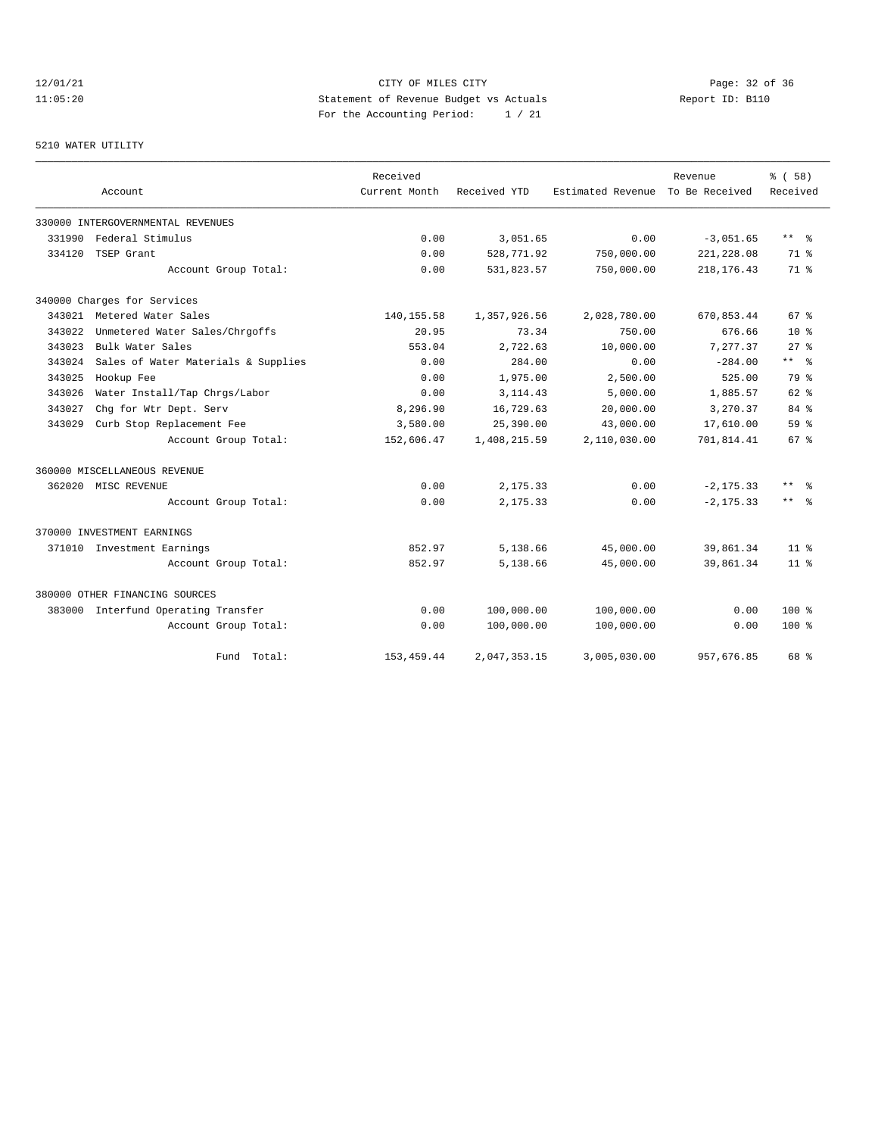# 12/01/21 CITY OF MILES CITY<br>11:05:20 Page: 32 of 36<br>11:05:20 Page: 32 of 36<br>11:05:20 11:05:20 Statement of Revenue Budget vs Actuals Report ID: B110 For the Accounting Period: 1 / 21

#### 5210 WATER UTILITY

|        |                                     | Received      |              |                   | Revenue        | 8 ( 58 )     |
|--------|-------------------------------------|---------------|--------------|-------------------|----------------|--------------|
|        | Account                             | Current Month | Received YTD | Estimated Revenue | To Be Received | Received     |
|        | 330000 INTERGOVERNMENTAL REVENUES   |               |              |                   |                |              |
| 331990 | Federal Stimulus                    | 0.00          | 3,051.65     | 0.00              | $-3,051.65$    | $***$ $=$    |
| 334120 | TSEP Grant                          | 0.00          | 528,771.92   | 750,000.00        | 221, 228.08    | $71*$        |
|        | Account Group Total:                | 0.00          | 531,823.57   | 750,000.00        | 218, 176. 43   | $71*$        |
|        | 340000 Charges for Services         |               |              |                   |                |              |
|        | 343021 Metered Water Sales          | 140, 155.58   | 1,357,926.56 | 2,028,780.00      | 670,853.44     | $67*$        |
| 343022 | Unmetered Water Sales/Chrgoffs      | 20.95         | 73.34        | 750.00            | 676.66         | $10*$        |
| 343023 | Bulk Water Sales                    | 553.04        | 2,722.63     | 10,000.00         | 7,277.37       | $27*$        |
| 343024 | Sales of Water Materials & Supplies | 0.00          | 284.00       | 0.00              | $-284.00$      | $***$ %      |
| 343025 | Hookup Fee                          | 0.00          | 1,975.00     | 2,500.00          | 525.00         | 79 %         |
| 343026 | Water Install/Tap Chrgs/Labor       | 0.00          | 3, 114.43    | 5,000.00          | 1,885.57       | $62*$        |
| 343027 | Chg for Wtr Dept. Serv              | 8,296.90      | 16,729.63    | 20,000.00         | 3,270.37       | $84*$        |
| 343029 | Curb Stop Replacement Fee           | 3,580.00      | 25,390.00    | 43,000.00         | 17,610.00      | $59*$        |
|        | Account Group Total:                | 152,606.47    | 1,408,215.59 | 2,110,030.00      | 701,814.41     | $67*$        |
|        | 360000 MISCELLANEOUS REVENUE        |               |              |                   |                |              |
|        | 362020 MISC REVENUE                 | 0.00          | 2,175.33     | 0.00              | $-2, 175.33$   | $***$<br>- 옹 |
|        | Account Group Total:                | 0.00          | 2,175.33     | 0.00              | $-2, 175.33$   | $***$ $=$    |
|        | 370000 INVESTMENT EARNINGS          |               |              |                   |                |              |
|        | 371010 Investment Earnings          | 852.97        | 5,138.66     | 45,000.00         | 39,861.34      | $11*$        |
|        | Account Group Total:                | 852.97        | 5,138.66     | 45,000.00         | 39,861.34      | $11*$        |
|        | 380000 OTHER FINANCING SOURCES      |               |              |                   |                |              |
|        | 383000 Interfund Operating Transfer | 0.00          | 100,000.00   | 100,000.00        | 0.00           | $100*$       |
|        | Account Group Total:                | 0.00          | 100,000.00   | 100,000.00        | 0.00           | $100*$       |
|        | Fund Total:                         | 153, 459.44   | 2,047,353.15 | 3,005,030.00      | 957,676.85     | 68 %         |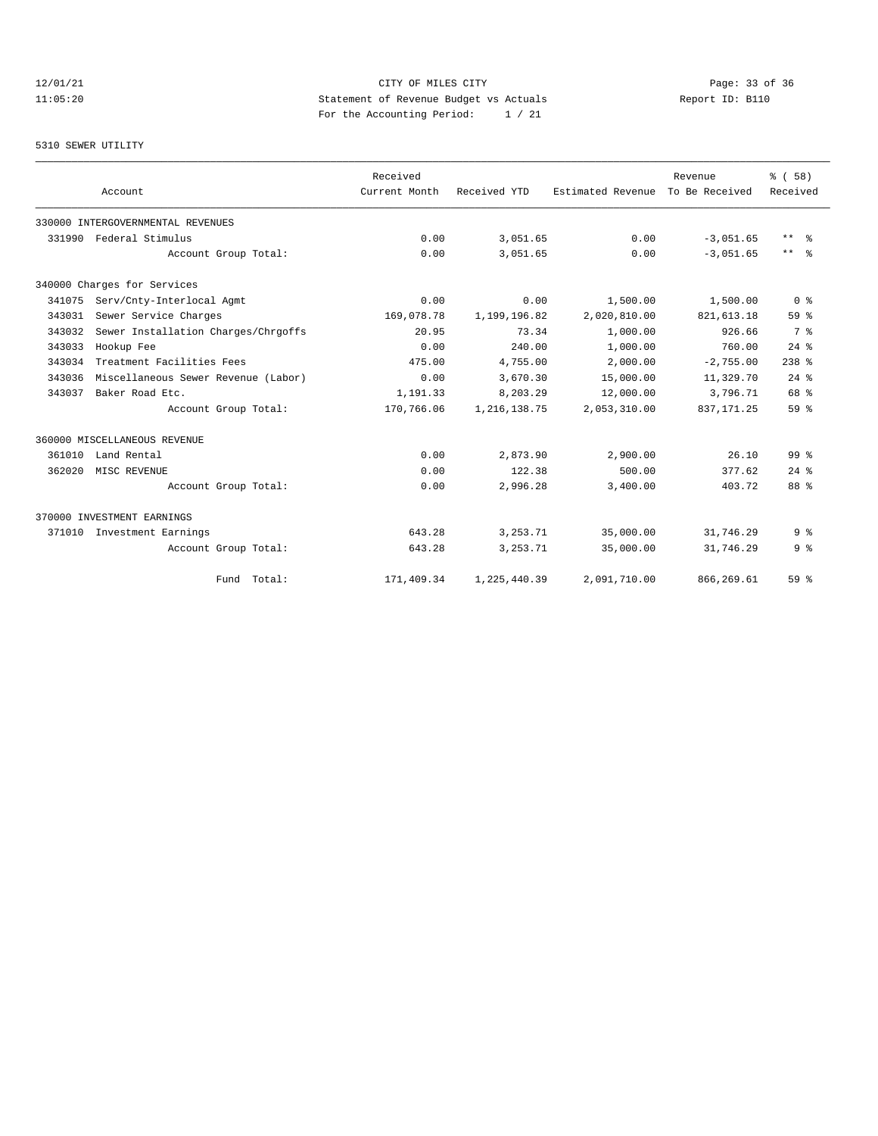# $\textrm{CITY OF MLES CITY} \begin{tabular}{lcccccc} \multicolumn{2}{c|}{\textbf{CITY}} & \multicolumn{2}{c|}{\textbf{CITY}} & \multicolumn{2}{c|}{\textbf{Page: 33 of 36}} \\ \multicolumn{2}{c|}{\textbf{Statement of Revenue Budget vs Actuals}} & \multicolumn{2}{c|}{\textbf{Frequency: 33 of 36}} \\ \multicolumn{2}{c|}{\textbf{Method:} & \multicolumn{2}{c|}{\textbf{Method:} & \multicolumn{2}{c|}{\textbf{Method:} & \multicolumn{2}{c|}{\textbf{Method:} & \multicolumn{2}{c|}{\textbf{Method:$ 11:05:20 Statement of Revenue Budget vs Actuals Report ID: B110 For the Accounting Period: 1 / 21

#### 5310 SEWER UTILITY

|        |                                     | Received      |                |                   | Revenue        | % (58)          |
|--------|-------------------------------------|---------------|----------------|-------------------|----------------|-----------------|
|        | Account                             | Current Month | Received YTD   | Estimated Revenue | To Be Received | Received        |
|        | 330000 INTERGOVERNMENTAL REVENUES   |               |                |                   |                |                 |
| 331990 | Federal Stimulus                    | 0.00          | 3,051.65       | 0.00              | $-3,051.65$    | $***$ $%$       |
|        | Account Group Total:                | 0.00          | 3,051.65       | 0.00              | $-3.051.65$    | $***$ $%$       |
|        | 340000 Charges for Services         |               |                |                   |                |                 |
| 341075 | Serv/Cnty-Interlocal Agmt           | 0.00          | 0.00           | 1,500.00          | 1,500.00       | 0 <sup>8</sup>  |
| 343031 | Sewer Service Charges               | 169,078.78    | 1,199,196.82   | 2,020,810.00      | 821, 613.18    | 59 <sup>8</sup> |
| 343032 | Sewer Installation Charges/Chrgoffs | 20.95         | 73.34          | 1,000.00          | 926.66         | 7 %             |
| 343033 | Hookup Fee                          | 0.00          | 240.00         | 1,000.00          | 760.00         | $24$ $%$        |
| 343034 | Treatment Facilities Fees           | 475.00        | 4,755.00       | 2,000.00          | $-2,755.00$    | $238$ %         |
| 343036 | Miscellaneous Sewer Revenue (Labor) | 0.00          | 3,670.30       | 15,000.00         | 11,329.70      | $24$ $%$        |
| 343037 | Baker Road Etc.                     | 1,191.33      | 8,203.29       | 12,000.00         | 3,796.71       | 68 %            |
|        | Account Group Total:                | 170,766.06    | 1, 216, 138.75 | 2,053,310.00      | 837, 171.25    | 59 %            |
|        | 360000 MISCELLANEOUS REVENUE        |               |                |                   |                |                 |
| 361010 | Land Rental                         | 0.00          | 2,873.90       | 2,900.00          | 26.10          | 99 <sup>8</sup> |
| 362020 | MISC REVENUE                        | 0.00          | 122.38         | 500.00            | 377.62         | $24$ $%$        |
|        | Account Group Total:                | 0.00          | 2,996.28       | 3,400.00          | 403.72         | 88 %            |
|        | 370000 INVESTMENT EARNINGS          |               |                |                   |                |                 |
| 371010 | Investment Earnings                 | 643.28        | 3, 253. 71     | 35,000.00         | 31,746.29      | 9 <sup>8</sup>  |
|        | Account Group Total:                | 643.28        | 3, 253. 71     | 35,000.00         | 31,746.29      | 9 <sup>8</sup>  |
|        | Fund Total:                         | 171,409.34    | 1,225,440.39   | 2,091,710.00      | 866, 269.61    | 59 %            |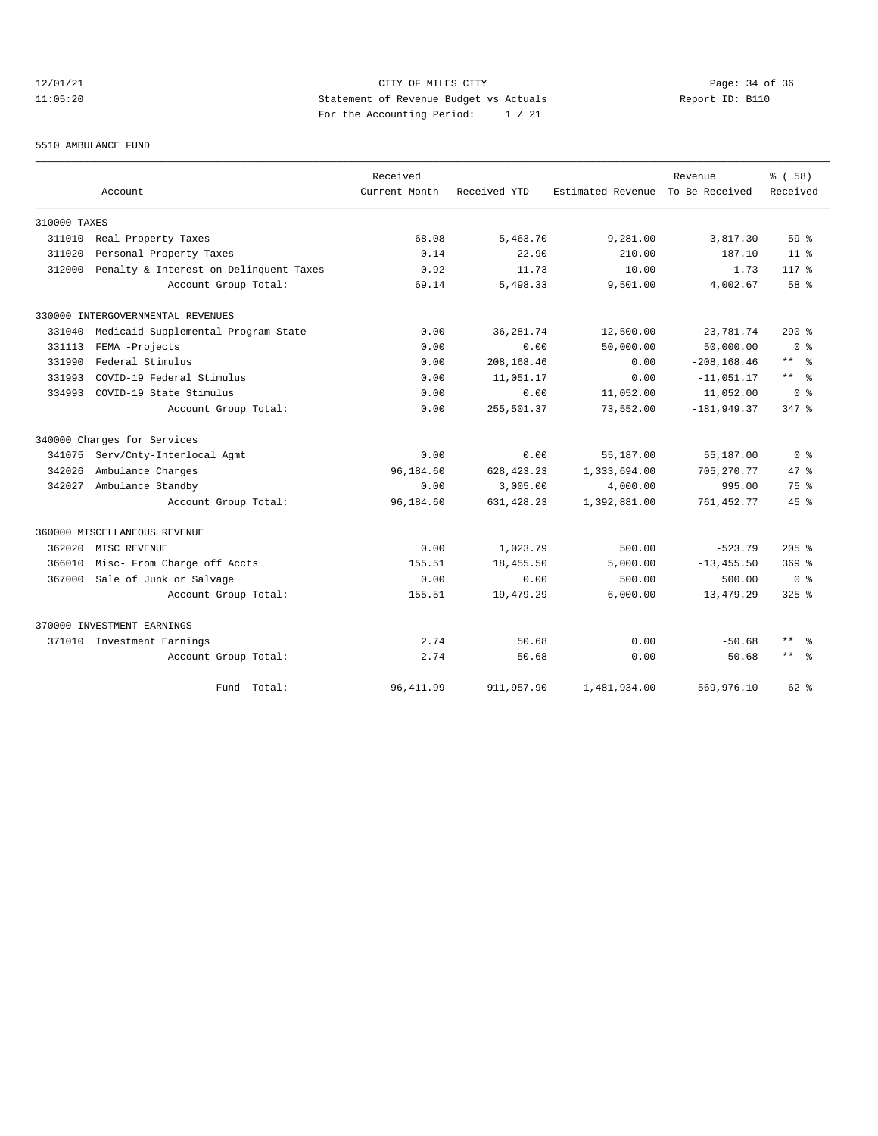# 12/01/21 Page: 34 of 36 11:05:20 Statement of Revenue Budget vs Actuals Report ID: B110 For the Accounting Period: 1 / 21

#### 5510 AMBULANCE FUND

|              |                                        | Received      |              |                   | Revenue        | % ( 58 )            |
|--------------|----------------------------------------|---------------|--------------|-------------------|----------------|---------------------|
|              | Account                                | Current Month | Received YTD | Estimated Revenue | To Be Received | Received            |
| 310000 TAXES |                                        |               |              |                   |                |                     |
| 311010       | Real Property Taxes                    | 68.08         | 5,463.70     | 9,281.00          | 3,817.30       | 59 <sup>8</sup>     |
| 311020       | Personal Property Taxes                | 0.14          | 22.90        | 210.00            | 187.10         | 11 <sup>8</sup>     |
| 312000       | Penalty & Interest on Delinquent Taxes | 0.92          | 11.73        | 10.00             | $-1.73$        | $117*$              |
|              | Account Group Total:                   | 69.14         | 5,498.33     | 9,501.00          | 4,002.67       | $58*$               |
|              | 330000 INTERGOVERNMENTAL REVENUES      |               |              |                   |                |                     |
| 331040       | Medicaid Supplemental Program-State    | 0.00          | 36, 281.74   | 12,500.00         | $-23,781.74$   | $290$ %             |
| 331113       | FEMA -Projects                         | 0.00          | 0.00         | 50,000.00         | 50,000.00      | 0 <sup>8</sup>      |
| 331990       | Federal Stimulus                       | 0.00          | 208,168.46   | 0.00              | $-208, 168.46$ | $***$ $=$           |
| 331993       | COVID-19 Federal Stimulus              | 0.00          | 11,051.17    | 0.00              | $-11,051.17$   | $***$ $=$           |
| 334993       | COVID-19 State Stimulus                | 0.00          | 0.00         | 11,052.00         | 11,052.00      | 0 <sup>8</sup>      |
|              | Account Group Total:                   | 0.00          | 255,501.37   | 73,552.00         | $-181,949.37$  | $347$ $%$           |
|              | 340000 Charges for Services            |               |              |                   |                |                     |
| 341075       | Serv/Cnty-Interlocal Agmt              | 0.00          | 0.00         | 55,187.00         | 55,187.00      | 0 <sup>8</sup>      |
| 342026       | Ambulance Charges                      | 96,184.60     | 628, 423. 23 | 1,333,694.00      | 705, 270.77    | $47*$               |
| 342027       | Ambulance Standby                      | 0.00          | 3,005.00     | 4,000.00          | 995.00         | $75*$               |
|              | Account Group Total:                   | 96,184.60     | 631, 428.23  | 1,392,881.00      | 761, 452. 77   | $45*$               |
|              | 360000 MISCELLANEOUS REVENUE           |               |              |                   |                |                     |
| 362020       | MISC REVENUE                           | 0.00          | 1,023.79     | 500.00            | $-523.79$      | $205$ %             |
| 366010       | Misc- From Charge off Accts            | 155.51        | 18,455.50    | 5,000.00          | $-13, 455.50$  | $369$ $%$           |
| 367000       | Sale of Junk or Salvage                | 0.00          | 0.00         | 500.00            | 500.00         | ი ჵ                 |
|              | Account Group Total:                   | 155.51        | 19,479.29    | 6,000.00          | $-13, 479.29$  | $325$ $%$           |
|              | 370000 INVESTMENT EARNINGS             |               |              |                   |                |                     |
|              | 371010 Investment Earnings             | 2.74          | 50.68        | 0.00              | $-50.68$       | $***$<br>- 왕        |
|              | Account Group Total:                   | 2.74          | 50.68        | 0.00              | $-50.68$       | $\star\star$<br>ം ക |
|              | Fund Total:                            | 96, 411.99    | 911, 957.90  | 1,481,934.00      | 569,976.10     | $62*$               |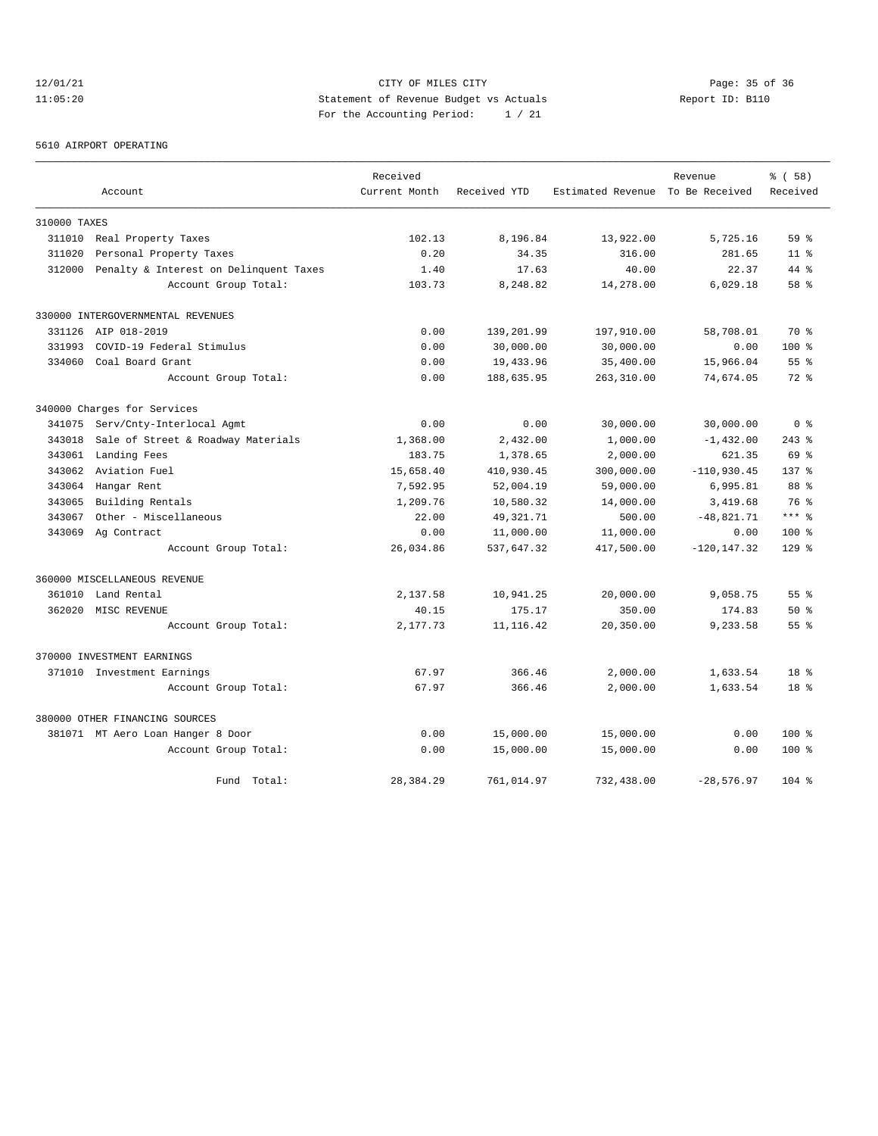# 12/01/21 CITY OF MILES CITY<br>11:05:20 Page: 35 of 36<br>11:05:20 Statement of Revenue Budget vs Actuals<br>12:05:20 11:05:20 Statement of Revenue Budget vs Actuals Report ID: B110 For the Accounting Period: 1 / 21

#### 5610 AIRPORT OPERATING

|              |                                        | Received      |              |                                  | Revenue        | % ( 58 )        |
|--------------|----------------------------------------|---------------|--------------|----------------------------------|----------------|-----------------|
|              | Account                                | Current Month | Received YTD | Estimated Revenue To Be Received |                | Received        |
| 310000 TAXES |                                        |               |              |                                  |                |                 |
| 311010       | Real Property Taxes                    | 102.13        | 8,196.84     | 13,922.00                        | 5,725.16       | $59*$           |
| 311020       | Personal Property Taxes                | 0.20          | 34.35        | 316.00                           | 281.65         | 11 <sup>8</sup> |
| 312000       | Penalty & Interest on Delinquent Taxes | 1.40          | 17.63        | 40.00                            | 22.37          | 44 %            |
|              | Account Group Total:                   | 103.73        | 8,248.82     | 14,278.00                        | 6,029.18       | 58 %            |
|              | 330000 INTERGOVERNMENTAL REVENUES      |               |              |                                  |                |                 |
|              | 331126 AIP 018-2019                    | 0.00          | 139,201.99   | 197,910.00                       | 58,708.01      | 70 %            |
| 331993       | COVID-19 Federal Stimulus              | 0.00          | 30,000.00    | 30,000.00                        | 0.00           | $100*$          |
| 334060       | Coal Board Grant                       | 0.00          | 19,433.96    | 35,400.00                        | 15,966.04      | 55 <sup>8</sup> |
|              | Account Group Total:                   | 0.00          | 188,635.95   | 263,310.00                       | 74,674.05      | $72*$           |
|              | 340000 Charges for Services            |               |              |                                  |                |                 |
| 341075       | Serv/Cnty-Interlocal Agmt              | 0.00          | 0.00         | 30,000.00                        | 30,000.00      | 0 <sup>8</sup>  |
| 343018       | Sale of Street & Roadway Materials     | 1,368.00      | 2,432.00     | 1,000.00                         | $-1,432.00$    | $243$ %         |
| 343061       | Landing Fees                           | 183.75        | 1,378.65     | 2,000.00                         | 621.35         | 69 %            |
| 343062       | Aviation Fuel                          | 15,658.40     | 410,930.45   | 300,000.00                       | $-110,930.45$  | $137*$          |
| 343064       | Hangar Rent                            | 7,592.95      | 52,004.19    | 59,000.00                        | 6,995.81       | 88 %            |
| 343065       | Building Rentals                       | 1,209.76      | 10,580.32    | 14,000.00                        | 3,419.68       | 76 %            |
| 343067       | Other - Miscellaneous                  | 22.00         | 49, 321. 71  | 500.00                           | $-48,821.71$   | $***$ %         |
| 343069       | Ag Contract                            | 0.00          | 11,000.00    | 11,000.00                        | 0.00           | 100 %           |
|              | Account Group Total:                   | 26,034.86     | 537,647.32   | 417,500.00                       | $-120, 147.32$ | $129$ %         |
|              | 360000 MISCELLANEOUS REVENUE           |               |              |                                  |                |                 |
| 361010       | Land Rental                            | 2,137.58      | 10,941.25    | 20,000.00                        | 9,058.75       | 55 <sup>8</sup> |
| 362020       | MISC REVENUE                           | 40.15         | 175.17       | 350.00                           | 174.83         | $50*$           |
|              | Account Group Total:                   | 2,177.73      | 11, 116.42   | 20,350.00                        | 9,233.58       | $55$ $%$        |
|              | 370000 INVESTMENT EARNINGS             |               |              |                                  |                |                 |
|              | 371010 Investment Earnings             | 67.97         | 366.46       | 2,000.00                         | 1,633.54       | 18 <sup>8</sup> |
|              | Account Group Total:                   | 67.97         | 366.46       | 2,000.00                         | 1,633.54       | 18 <sup>8</sup> |
|              | 380000 OTHER FINANCING SOURCES         |               |              |                                  |                |                 |
|              | 381071 MT Aero Loan Hanger 8 Door      | 0.00          | 15,000.00    | 15,000.00                        | 0.00           | $100*$          |
|              | Account Group Total:                   | 0.00          | 15,000.00    | 15,000.00                        | 0.00           | $100*$          |
|              | Fund Total:                            | 28,384.29     | 761,014.97   | 732,438.00                       | $-28,576.97$   | $104$ %         |